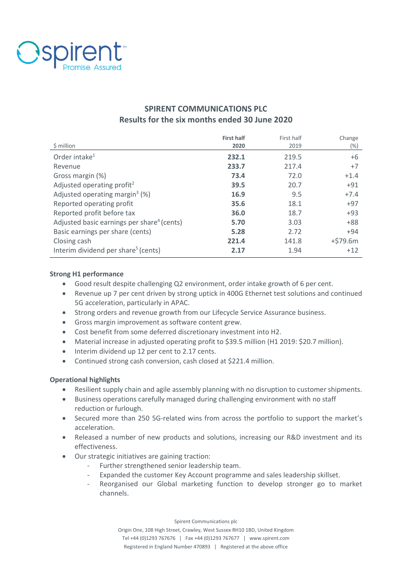

# **SPIRENT COMMUNICATIONS PLC Results for the six months ended 30 June 2020**

|                                                        | <b>First half</b> | First half | Change      |
|--------------------------------------------------------|-------------------|------------|-------------|
| \$ million                                             | 2020              | 2019       | $(\%)$      |
| Order intake <sup>1</sup>                              | 232.1             | 219.5      | $+6$        |
| Revenue                                                | 233.7             | 217.4      | $+7$        |
| Gross margin (%)                                       | 73.4              | 72.0       | $+1.4$      |
| Adjusted operating profit <sup>2</sup>                 | 39.5              | 20.7       | $+91$       |
| Adjusted operating margin <sup>3</sup> $(\%)$          | 16.9              | 9.5        | $+7.4$      |
| Reported operating profit                              | 35.6              | 18.1       | $+97$       |
| Reported profit before tax                             | 36.0              | 18.7       | $+93$       |
| Adjusted basic earnings per share <sup>4</sup> (cents) | 5.70              | 3.03       | $+88$       |
| Basic earnings per share (cents)                       | 5.28              | 2.72       | $+94$       |
| Closing cash                                           | 221.4             | 141.8      | $+$ \$79.6m |
| Interim dividend per share <sup>5</sup> (cents)        | 2.17              | 1.94       | $+12$       |

## **Strong H1 performance**

- Good result despite challenging Q2 environment, order intake growth of 6 per cent.
- Revenue up 7 per cent driven by strong uptick in 400G Ethernet test solutions and continued 5G acceleration, particularly in APAC.
- Strong orders and revenue growth from our Lifecycle Service Assurance business.
- Gross margin improvement as software content grew.
- Cost benefit from some deferred discretionary investment into H2.
- Material increase in adjusted operating profit to \$39.5 million (H1 2019: \$20.7 million).
- Interim dividend up 12 per cent to 2.17 cents.
- Continued strong cash conversion, cash closed at \$221.4 million.

## **Operational highlights**

- Resilient supply chain and agile assembly planning with no disruption to customer shipments.
- Business operations carefully managed during challenging environment with no staff reduction or furlough.
- Secured more than 250 5G-related wins from across the portfolio to support the market's acceleration.
- Released a number of new products and solutions, increasing our R&D investment and its effectiveness.
- Our strategic initiatives are gaining traction:
	- Further strengthened senior leadership team.
	- Expanded the customer Key Account programme and sales leadership skillset.
	- Reorganised our Global marketing function to develop stronger go to market channels.

Spirent Communications plc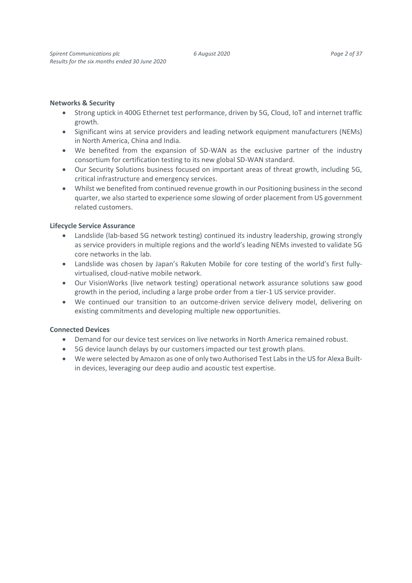## **Networks & Security**

- Strong uptick in 400G Ethernet test performance, driven by 5G, Cloud, IoT and internet traffic growth.
- Significant wins at service providers and leading network equipment manufacturers (NEMs) in North America, China and India.
- We benefited from the expansion of SD-WAN as the exclusive partner of the industry consortium for certification testing to its new global SD-WAN standard.
- Our Security Solutions business focused on important areas of threat growth, including 5G, critical infrastructure and emergency services.
- Whilst we benefited from continued revenue growth in our Positioning business in the second quarter, we also started to experience some slowing of order placement from US government related customers.

## **Lifecycle Service Assurance**

- Landslide (lab-based 5G network testing) continued its industry leadership, growing strongly as service providers in multiple regions and the world's leading NEMs invested to validate 5G core networks in the lab.
- Landslide was chosen by Japan's Rakuten Mobile for core testing of the world's first fullyvirtualised, cloud-native mobile network.
- Our VisionWorks (live network testing) operational network assurance solutions saw good growth in the period, including a large probe order from a tier-1 US service provider.
- We continued our transition to an outcome-driven service delivery model, delivering on existing commitments and developing multiple new opportunities.

## **Connected Devices**

- Demand for our device test services on live networks in North America remained robust.
- 5G device launch delays by our customers impacted our test growth plans.
- We were selected by Amazon as one of only two Authorised Test Labs in the US for Alexa Builtin devices, leveraging our deep audio and acoustic test expertise.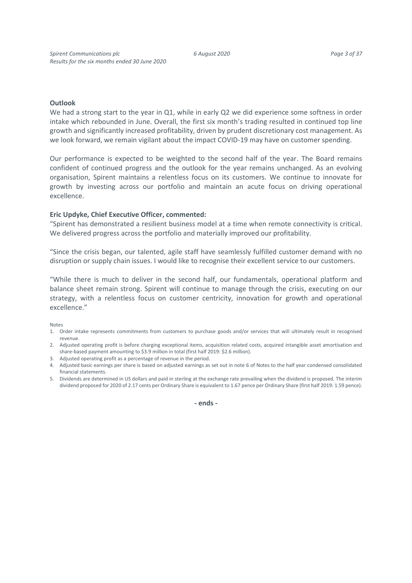### **Outlook**

We had a strong start to the year in Q1, while in early Q2 we did experience some softness in order intake which rebounded in June. Overall, the first six month's trading resulted in continued top line growth and significantly increased profitability, driven by prudent discretionary cost management. As we look forward, we remain vigilant about the impact COVID-19 may have on customer spending.

Our performance is expected to be weighted to the second half of the year. The Board remains confident of continued progress and the outlook for the year remains unchanged. As an evolving organisation, Spirent maintains a relentless focus on its customers. We continue to innovate for growth by investing across our portfolio and maintain an acute focus on driving operational excellence.

### **Eric Updyke, Chief Executive Officer, commented:**

"Spirent has demonstrated a resilient business model at a time when remote connectivity is critical. We delivered progress across the portfolio and materially improved our profitability.

"Since the crisis began, our talented, agile staff have seamlessly fulfilled customer demand with no disruption or supply chain issues. I would like to recognise their excellent service to our customers.

"While there is much to deliver in the second half, our fundamentals, operational platform and balance sheet remain strong. Spirent will continue to manage through the crisis, executing on our strategy, with a relentless focus on customer centricity, innovation for growth and operational excellence."

Notes

- 3. Adjusted operating profit as a percentage of revenue in the period.
- 4. Adjusted basic earnings per share is based on adjusted earnings as set out in note 6 of Notes to the half year condensed consolidated financial statements.
- 5. Dividends are determined in US dollars and paid in sterling at the exchange rate prevailing when the dividend is proposed. The interim dividend proposed for 2020 of 2.17 cents per Ordinary Share is equivalent to 1.67 pence per Ordinary Share (first half 2019: 1.59 pence).

**- ends -**

<sup>1.</sup> Order intake represents commitments from customers to purchase goods and/or services that will ultimately result in recognised revenue.

<sup>2.</sup> Adjusted operating profit is before charging exceptional items, acquisition related costs, acquired intangible asset amortisation and share-based payment amounting to \$3.9 million in total (first half 2019: \$2.6 million).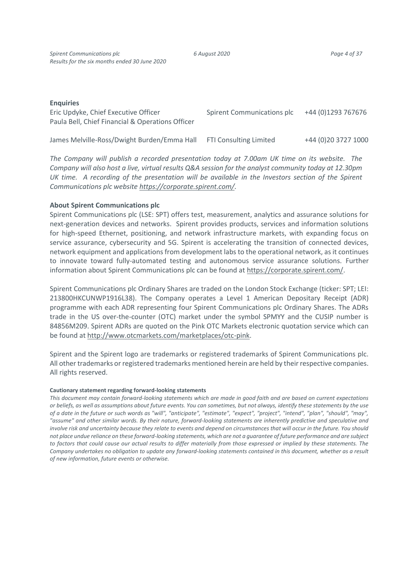### **Enquiries**

| Spirent Communications plc | +44 (0)1293 767676            |
|----------------------------|-------------------------------|
|                            |                               |
|                            | +44 (0) 20 3727 1000          |
|                            | <b>FTI Consulting Limited</b> |

*The Company will publish a recorded presentation today at 7.00am UK time on its website. The Company will also host a live, virtual results Q&A session for the analyst community today at 12.30pm UK time. A recording of the presentation will be available in the Investors section of the Spirent Communications plc website [https://corporate.spirent.com/.](https://corporate.spirent.com/)*

## **About Spirent Communications plc**

Spirent Communications plc (LSE: SPT) offers test, measurement, analytics and assurance solutions for next-generation devices and networks. Spirent provides products, services and information solutions for high-speed Ethernet, positioning, and network infrastructure markets, with expanding focus on service assurance, cybersecurity and 5G. Spirent is accelerating the transition of connected devices, network equipment and applications from development labs to the operational network, as it continues to innovate toward fully-automated testing and autonomous service assurance solutions. Further information about Spirent Communications plc can be found a[t https://corporate.spirent.com/.](https://corporate.spirent.com/)

Spirent Communications plc Ordinary Shares are traded on the London Stock Exchange (ticker: SPT; LEI: 213800HKCUNWP1916L38). The Company operates a Level 1 American Depositary Receipt (ADR) programme with each ADR representing four Spirent Communications plc Ordinary Shares. The ADRs trade in the US over-the-counter (OTC) market under the symbol SPMYY and the CUSIP number is 84856M209. Spirent ADRs are quoted on the Pink OTC Markets electronic quotation service which can be found at [http://www.otcmarkets.com/marketplaces/otc-pink.](http://www.otcmarkets.com/marketplaces/otc-pink)

Spirent and the Spirent logo are trademarks or registered trademarks of Spirent Communications plc. All other trademarks or registered trademarks mentioned herein are held by their respective companies. All rights reserved.

#### **Cautionary statement regarding forward-looking statements**

*This document may contain forward-looking statements which are made in good faith and are based on current expectations or beliefs, as well as assumptions about future events. You can sometimes, but not always, identify these statements by the use of a date in the future or such words as "will", "anticipate", "estimate", "expect", "project", "intend", "plan", "should", "may", "assume" and other similar words. By their nature, forward-looking statements are inherently predictive and speculative and involve risk and uncertainty because they relate to events and depend on circumstances that will occur in the future. You should not place undue reliance on these forward-looking statements, which are not a guarantee of future performance and are subject to factors that could cause our actual results to differ materially from those expressed or implied by these statements. The Company undertakes no obligation to update any forward-looking statements contained in this document, whether as a result of new information, future events or otherwise.*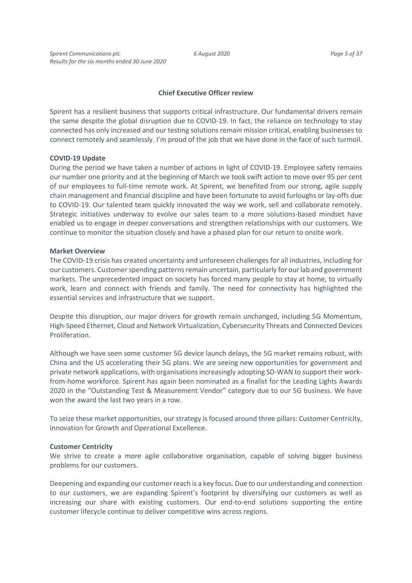## **Chief Executive Officer review**

Spirent has a resilient business that supports critical infrastructure. Our fundamental drivers remain the same despite the global disruption due to COVID-19. In fact, the reliance on technology to stay connected has only increased and our testing solutions remain mission critical, enabling businesses to connect remotely and seamlessly. I'm proud of the job that we have done in the face of such turmoil.

## **COVID-19 Update**

During the period we have taken a number of actions in light of COVID-19. Employee safety remains our number one priority and at the beginning of March we took swift action to move over 95 per cent of our employees to full-time remote work. At Spirent, we benefited from our strong, agile supply chain management and financial discipline and have been fortunate to avoid furloughs or lay-offs due to COVID-19. Our talented team quickly innovated the way we work, sell and collaborate remotely. Strategic initiatives underway to evolve our sales team to a more solutions-based mindset have enabled us to engage in deeper conversations and strengthen relationships with our customers. We continue to monitor the situation closely and have a phased plan for our return to onsite work.

## **Market Overview**

The COVID-19 crisis has created uncertainty and unforeseen challenges for all industries, including for our customers. Customer spending patterns remain uncertain, particularly for our lab and government markets. The unprecedented impact on society has forced many people to stay at home, to virtually work, learn and connect with friends and family. The need for connectivity has highlighted the essential services and infrastructure that we support.

Despite this disruption, our major drivers for growth remain unchanged, including 5G Momentum, High-Speed Ethernet, Cloud and Network Virtualization, Cybersecurity Threats and Connected Devices Proliferation.

Although we have seen some customer 5G device launch delays, the 5G market remains robust, with China and the US accelerating their 5G plans. We are seeing new opportunities for government and private network applications, with organisations increasingly adopting SD-WAN to support their workfrom-home workforce. Spirent has again been nominated as a finalist for the Leading Lights Awards 2020 in the "Outstanding Test & Measurement Vendor" category due to our 5G business. We have won the award the last two years in a row.

To seize these market opportunities, our strategy is focused around three pillars: Customer Centricity, Innovation for Growth and Operational Excellence.

## **Customer Centricity**

We strive to create a more agile collaborative organisation, capable of solving bigger business problems for our customers.

Deepening and expanding our customer reach is a key focus. Due to our understanding and connection to our customers, we are expanding Spirent's footprint by diversifying our customers as well as increasing our share with existing customers. Our end-to-end solutions supporting the entire customer lifecycle continue to deliver competitive wins across regions.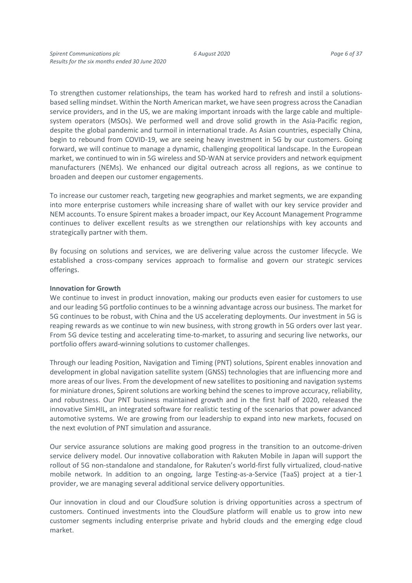To strengthen customer relationships, the team has worked hard to refresh and instil a solutionsbased selling mindset. Within the North American market, we have seen progress across the Canadian service providers, and in the US, we are making important inroads with the large cable and multiplesystem operators (MSOs). We performed well and drove solid growth in the Asia-Pacific region, despite the global pandemic and turmoil in international trade. As Asian countries, especially China, begin to rebound from COVID-19, we are seeing heavy investment in 5G by our customers. Going forward, we will continue to manage a dynamic, challenging geopolitical landscape. In the European market, we continued to win in 5G wireless and SD-WAN at service providers and network equipment manufacturers (NEMs). We enhanced our digital outreach across all regions, as we continue to broaden and deepen our customer engagements.

To increase our customer reach, targeting new geographies and market segments, we are expanding into more enterprise customers while increasing share of wallet with our key service provider and NEM accounts. To ensure Spirent makes a broader impact, our Key Account Management Programme continues to deliver excellent results as we strengthen our relationships with key accounts and strategically partner with them.

By focusing on solutions and services, we are delivering value across the customer lifecycle. We established a cross-company services approach to formalise and govern our strategic services offerings.

## **Innovation for Growth**

We continue to invest in product innovation, making our products even easier for customers to use and our leading 5G portfolio continues to be a winning advantage across our business. The market for 5G continues to be robust, with China and the US accelerating deployments. Our investment in 5G is reaping rewards as we continue to win new business, with strong growth in 5G orders over last year. From 5G device testing and accelerating time-to-market, to assuring and securing live networks, our portfolio offers award-winning solutions to customer challenges.

Through our leading Position, Navigation and Timing (PNT) solutions, Spirent enables innovation and development in global navigation satellite system (GNSS) technologies that are influencing more and more areas of our lives. From the development of new satellites to positioning and navigation systems for miniature drones, Spirent solutions are working behind the scenes to improve accuracy, reliability, and robustness. Our PNT business maintained growth and in the first half of 2020, released the innovative SimHIL, an integrated software for realistic testing of the scenarios that power advanced automotive systems. We are growing from our leadership to expand into new markets, focused on the next evolution of PNT simulation and assurance.

Our service assurance solutions are making good progress in the transition to an outcome-driven service delivery model. Our innovative collaboration with Rakuten Mobile in Japan will support the rollout of 5G non-standalone and standalone, for Rakuten's world-first fully virtualized, cloud-native mobile network. In addition to an ongoing, large Testing-as-a-Service (TaaS) project at a tier-1 provider, we are managing several additional service delivery opportunities.

Our innovation in cloud and our CloudSure solution is driving opportunities across a spectrum of customers. Continued investments into the CloudSure platform will enable us to grow into new customer segments including enterprise private and hybrid clouds and the emerging edge cloud market.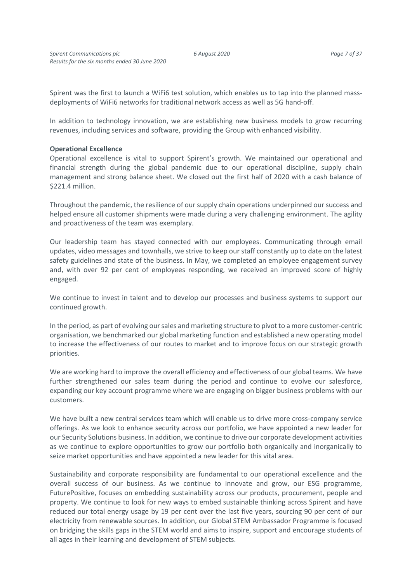Spirent was the first to launch a WiFi6 test solution, which enables us to tap into the planned massdeployments of WiFi6 networks for traditional network access as well as 5G hand-off.

In addition to technology innovation, we are establishing new business models to grow recurring revenues, including services and software, providing the Group with enhanced visibility.

## **Operational Excellence**

Operational excellence is vital to support Spirent's growth. We maintained our operational and financial strength during the global pandemic due to our operational discipline, supply chain management and strong balance sheet. We closed out the first half of 2020 with a cash balance of \$221.4 million.

Throughout the pandemic, the resilience of our supply chain operations underpinned our success and helped ensure all customer shipments were made during a very challenging environment. The agility and proactiveness of the team was exemplary.

Our leadership team has stayed connected with our employees. Communicating through email updates, video messages and townhalls, we strive to keep our staff constantly up to date on the latest safety guidelines and state of the business. In May, we completed an employee engagement survey and, with over 92 per cent of employees responding, we received an improved score of highly engaged.

We continue to invest in talent and to develop our processes and business systems to support our continued growth.

In the period, as part of evolving our sales and marketing structure to pivot to a more customer-centric organisation, we benchmarked our global marketing function and established a new operating model to increase the effectiveness of our routes to market and to improve focus on our strategic growth priorities.

We are working hard to improve the overall efficiency and effectiveness of our global teams. We have further strengthened our sales team during the period and continue to evolve our salesforce, expanding our key account programme where we are engaging on bigger business problems with our customers.

We have built a new central services team which will enable us to drive more cross-company service offerings. As we look to enhance security across our portfolio, we have appointed a new leader for our Security Solutions business. In addition, we continue to drive our corporate development activities as we continue to explore opportunities to grow our portfolio both organically and inorganically to seize market opportunities and have appointed a new leader for this vital area.

Sustainability and corporate responsibility are fundamental to our operational excellence and the overall success of our business. As we continue to innovate and grow, our ESG programme, FuturePositive, focuses on embedding sustainability across our products, procurement, people and property. We continue to look for new ways to embed sustainable thinking across Spirent and have reduced our total energy usage by 19 per cent over the last five years, sourcing 90 per cent of our electricity from renewable sources. In addition, our Global STEM Ambassador Programme is focused on bridging the skills gaps in the STEM world and aims to inspire, support and encourage students of all ages in their learning and development of STEM subjects.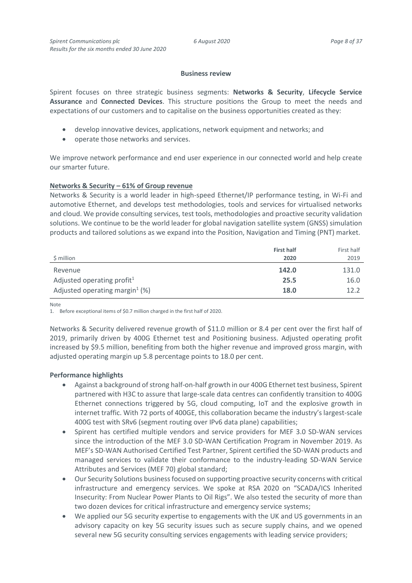### **Business review**

Spirent focuses on three strategic business segments: **Networks & Security**, **Lifecycle Service Assurance** and **Connected Devices**. This structure positions the Group to meet the needs and expectations of our customers and to capitalise on the business opportunities created as they:

- develop innovative devices, applications, network equipment and networks; and
- operate those networks and services.

We improve network performance and end user experience in our connected world and help create our smarter future.

## **Networks & Security – 61% of Group revenue**

Networks & Security is a world leader in high-speed Ethernet/IP performance testing, in Wi-Fi and automotive Ethernet, and develops test methodologies, tools and services for virtualised networks and cloud. We provide consulting services, test tools, methodologies and proactive security validation solutions. We continue to be the world leader for global navigation satellite system (GNSS) simulation products and tailored solutions as we expand into the Position, Navigation and Timing (PNT) market.

|                                               | <b>First half</b> | First half |
|-----------------------------------------------|-------------------|------------|
| \$ million                                    | 2020              | 2019       |
| Revenue                                       | 142.0             | 131.0      |
| Adjusted operating profit <sup>1</sup>        | 25.5              | 16.0       |
| Adjusted operating margin <sup>1</sup> $(\%)$ | 18.0              | 12.2       |

Note

1. Before exceptional items of \$0.7 million charged in the first half of 2020.

Networks & Security delivered revenue growth of \$11.0 million or 8.4 per cent over the first half of 2019, primarily driven by 400G Ethernet test and Positioning business. Adjusted operating profit increased by \$9.5 million, benefiting from both the higher revenue and improved gross margin, with adjusted operating margin up 5.8 percentage points to 18.0 per cent.

## **Performance highlights**

- Against a background of strong half-on-half growth in our 400G Ethernet test business, Spirent partnered with H3C to assure that large-scale data centres can confidently transition to 400G Ethernet connections triggered by 5G, cloud computing, IoT and the explosive growth in internet traffic. With 72 ports of 400GE, this collaboration became the industry's largest-scale 400G test with SRv6 (segment routing over IPv6 data plane) capabilities;
- Spirent has certified [multiple vendors](https://www.mef.net/Press-Releases/MEF-Announces-First-Certified-MEF-3-0-SD-WAN-Technology-Vendors) and [service providers](https://www.spirent.com/newsroom/press_releases/releases/2020/march/03-18_first_certified_mef_30_sd-wan_service_providers_announced) for MEF 3.0 SD-WAN services since the introduction of the [MEF 3.0 SD-WAN Certification Program](https://www.spirent.com/newsroom/press_releases/releases/2019/november/11-19_mef_introduces_sd-wan_certification_program_spirent_authorized_certification_test_partner) in November 2019. As MEF's SD-WAN Authorised Certified Test Partner, Spirent certified the SD-WAN products and managed services to validate their conformance to the industry-leading SD-WAN Service Attributes and Services (MEF 70) global standard;
- Our Security Solutions business focused on supporting proactive security concerns with critical infrastructure and emergency services. We spoke at RSA 2020 on "SCADA/ICS Inherited Insecurity: From Nuclear Power Plants to Oil Rigs". We also tested the security of more than two dozen devices for critical infrastructure and emergency service systems;
- We applied our 5G security expertise to engagements with the UK and US governments in an advisory capacity on key 5G security issues such as secure supply chains, and we opened several new 5G security consulting services engagements with leading service providers;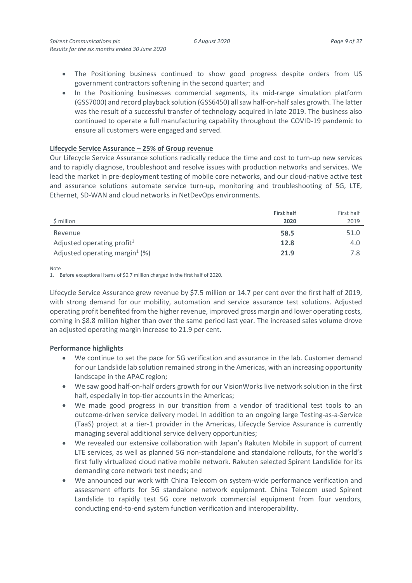- The Positioning business continued to show good progress despite orders from US government contractors softening in the second quarter; and
- In the Positioning businesses commercial segments, its mid-range simulation platform (GSS7000) and record playback solution (GSS6450) all saw half-on-half sales growth. The latter was the result of a successful transfer of technology acquired in late 2019. The business also continued to operate a full manufacturing capability throughout the COVID-19 pandemic to ensure all customers were engaged and served.

## **Lifecycle Service Assurance – 25% of Group revenue**

Our Lifecycle Service Assurance solutions radically reduce the time and cost to turn-up new services and to rapidly diagnose, troubleshoot and resolve issues with production networks and services. We lead the market in pre-deployment testing of mobile core networks, and our cloud-native active test and assurance solutions automate service turn-up, monitoring and troubleshooting of 5G, LTE, Ethernet, SD-WAN and cloud networks in NetDevOps environments.

|                                            | <b>First half</b> | First half |
|--------------------------------------------|-------------------|------------|
| \$ million                                 | 2020              | 2019       |
| Revenue                                    | 58.5              | 51.0       |
| Adjusted operating profit $1$              | 12.8              | 4.0        |
| Adjusted operating margin <sup>1</sup> (%) | 21.9              | 7.8        |

Note

1. Before exceptional items of \$0.7 million charged in the first half of 2020.

Lifecycle Service Assurance grew revenue by \$7.5 million or 14.7 per cent over the first half of 2019, with strong demand for our mobility, automation and service assurance test solutions. Adjusted operating profit benefited from the higher revenue, improved gross margin and lower operating costs, coming in \$8.8 million higher than over the same period last year. The increased sales volume drove an adjusted operating margin increase to 21.9 per cent.

## **Performance highlights**

- We continue to set the pace for 5G verification and assurance in the lab. Customer demand for our Landslide lab solution remained strong in the Americas, with an increasing opportunity landscape in the APAC region;
- We saw good half-on-half orders growth for our VisionWorks live network solution in the first half, especially in top-tier accounts in the Americas;
- We made good progress in our transition from a vendor of traditional test tools to an outcome-driven service delivery model. In addition to an ongoing large Testing-as-a-Service (TaaS) project at a tier-1 provider in the Americas, Lifecycle Service Assurance is currently managing several additional service delivery opportunities;
- We revealed our extensive collaboration with Japan's Rakuten Mobile in support of current LTE services, as well as planned 5G non-standalone and standalone rollouts, for the world's first fully virtualized cloud native mobile network. Rakuten selected Spirent Landslide for its demanding core network test needs; and
- We announced our work with China Telecom on system-wide performance verification and assessment efforts for 5G standalone network equipment. China Telecom used Spirent Landslide to rapidly test 5G core network commercial equipment from four vendors, conducting end-to-end system function verification and interoperability.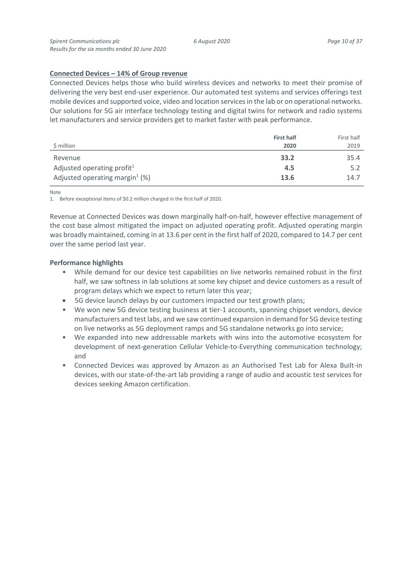## **Connected Devices – 14% of Group revenue**

Connected Devices helps those who build wireless devices and networks to meet their promise of delivering the very best end-user experience. Our automated test systems and services offerings test mobile devices and supported voice, video and location services in the lab or on operational networks. Our solutions for 5G air interface technology testing and digital twins for network and radio systems let manufacturers and service providers get to market faster with peak performance.

|                                               | <b>First half</b> | First half |
|-----------------------------------------------|-------------------|------------|
| \$ million                                    | 2020              | 2019       |
| Revenue                                       | 33.2              | 35.4       |
| Adjusted operating profit <sup>1</sup>        | 4.5               | 5.2        |
| Adjusted operating margin <sup>1</sup> $(\%)$ | 13.6              | 14.7       |

Note

1. Before exceptional items of \$0.2 million charged in the first half of 2020.

Revenue at Connected Devices was down marginally half-on-half, however effective management of the cost base almost mitigated the impact on adjusted operating profit. Adjusted operating margin was broadly maintained, coming in at 13.6 per cent in the first half of 2020, compared to 14.7 per cent over the same period last year.

## **Performance highlights**

- While demand for our device test capabilities on live networks remained robust in the first half, we saw softness in lab solutions at some key chipset and device customers as a result of program delays which we expect to return later this year;
- 5G device launch delays by our customers impacted our test growth plans;
- We won new 5G device testing business at tier-1 accounts, spanning chipset vendors, device manufacturers and test labs, and we saw continued expansion in demand for 5G device testing on live networks as 5G deployment ramps and 5G standalone networks go into service;
- We expanded into new addressable markets with wins into the automotive ecosystem for development of next-generation Cellular Vehicle-to-Everything communication technology; and
- Connected Devices was approved by Amazon as an Authorised Test Lab for Alexa Built-in devices, with our state-of-the-art lab providing a range of audio and acoustic test services for devices seeking Amazon certification.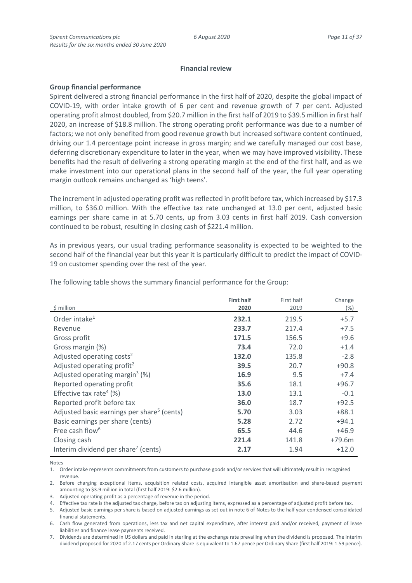## **Financial review**

## **Group financial performance**

Spirent delivered a strong financial performance in the first half of 2020, despite the global impact of COVID-19, with order intake growth of 6 per cent and revenue growth of 7 per cent. Adjusted operating profit almost doubled, from \$20.7 million in the first half of 2019 to \$39.5 million in first half 2020, an increase of \$18.8 million. The strong operating profit performance was due to a number of factors; we not only benefited from good revenue growth but increased software content continued, driving our 1.4 percentage point increase in gross margin; and we carefully managed our cost base, deferring discretionary expenditure to later in the year, when we may have improved visibility. These benefits had the result of delivering a strong operating margin at the end of the first half, and as we make investment into our operational plans in the second half of the year, the full year operating margin outlook remains unchanged as 'high teens'.

The increment in adjusted operating profit was reflected in profit before tax, which increased by \$17.3 million, to \$36.0 million. With the effective tax rate unchanged at 13.0 per cent, adjusted basic earnings per share came in at 5.70 cents, up from 3.03 cents in first half 2019. Cash conversion continued to be robust, resulting in closing cash of \$221.4 million.

As in previous years, our usual trading performance seasonality is expected to be weighted to the second half of the financial year but this year it is particularly difficult to predict the impact of COVID-19 on customer spending over the rest of the year.

|                                                        | <b>First half</b> | First half | Change   |
|--------------------------------------------------------|-------------------|------------|----------|
| \$ million                                             | 2020              | 2019       | $(\% )$  |
| Order intake $1$                                       | 232.1             | 219.5      | $+5.7$   |
| Revenue                                                | 233.7             | 217.4      | $+7.5$   |
| Gross profit                                           | 171.5             | 156.5      | $+9.6$   |
| Gross margin (%)                                       | 73.4              | 72.0       | $+1.4$   |
| Adjusted operating costs <sup>2</sup>                  | 132.0             | 135.8      | $-2.8$   |
| Adjusted operating profit <sup>2</sup>                 | 39.5              | 20.7       | $+90.8$  |
| Adjusted operating margin <sup>3</sup> $(\%)$          | 16.9              | 9.5        | $+7.4$   |
| Reported operating profit                              | 35.6              | 18.1       | $+96.7$  |
| Effective tax rate <sup>4</sup> (%)                    | 13.0              | 13.1       | $-0.1$   |
| Reported profit before tax                             | 36.0              | 18.7       | $+92.5$  |
| Adjusted basic earnings per share <sup>5</sup> (cents) | 5.70              | 3.03       | $+88.1$  |
| Basic earnings per share (cents)                       | 5.28              | 2.72       | $+94.1$  |
| Free cash flow <sup>6</sup>                            | 65.5              | 44.6       | $+46.9$  |
| Closing cash                                           | 221.4             | 141.8      | $+79.6m$ |
| Interim dividend per share <sup>7</sup> (cents)        | 2.17              | 1.94       | $+12.0$  |

The following table shows the summary financial performance for the Group:

Notes

1. Order intake represents commitments from customers to purchase goods and/or services that will ultimately result in recognised revenue.

<sup>2.</sup> Before charging exceptional items, acquisition related costs, acquired intangible asset amortisation and share-based payment amounting to \$3.9 million in total (first half 2019: \$2.6 million).

<sup>3.</sup> Adjusted operating profit as a percentage of revenue in the period.

<sup>4.</sup> Effective tax rate is the adjusted tax charge, before tax on adjusting items, expressed as a percentage of adjusted profit before tax.

<sup>5.</sup> Adjusted basic earnings per share is based on adjusted earnings as set out in note 6 of Notes to the half year condensed consolidated financial statements.

<sup>6.</sup> Cash flow generated from operations, less tax and net capital expenditure, after interest paid and/or received, payment of lease liabilities and finance lease payments received.

<sup>7.</sup> Dividends are determined in US dollars and paid in sterling at the exchange rate prevailing when the dividend is proposed. The interim dividend proposed for 2020 of 2.17 cents per Ordinary Share is equivalent to 1.67 pence per Ordinary Share (first half 2019: 1.59 pence).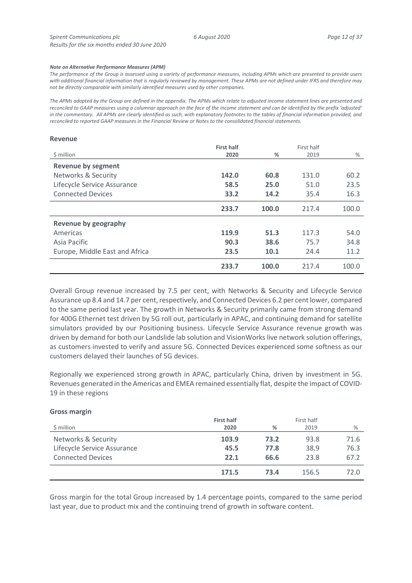#### *Note on Alternative Performance Measures (APM)*

*The performance of the Group is assessed using a variety of performance measures, including APMs which are presented to provide users with additional financial information that is regularly reviewed by management. These APMs are not defined under IFRS and therefore may not be directly comparable with similarly identified measures used by other companies.* 

The APMs adopted by the Group are defined in the appendix. The APMs which relate to adjusted income statement lines are presented and *reconciled to GAAP measures using a columnar approach on the face of the income statement and can be identified by the prefix 'adjusted' in the commentary. All APMs are clearly identified as such, with explanatory footnotes to the tables of financial information provided, and reconciled to reported GAAP measures in the Financial Review or Notes to the consolidated financial statements.* 

#### **Revenue**

|                                | <b>First half</b> |       | First half |       |
|--------------------------------|-------------------|-------|------------|-------|
| \$ million                     | 2020              | %     | 2019       | %     |
| <b>Revenue by segment</b>      |                   |       |            |       |
| <b>Networks &amp; Security</b> | 142.0             | 60.8  | 131.0      | 60.2  |
| Lifecycle Service Assurance    | 58.5              | 25.0  | 51.0       | 23.5  |
| <b>Connected Devices</b>       | 33.2              | 14.2  | 35.4       | 16.3  |
|                                | 233.7             | 100.0 | 217.4      | 100.0 |
| Revenue by geography           |                   |       |            |       |
| Americas                       | 119.9             | 51.3  | 117.3      | 54.0  |
| Asia Pacific                   | 90.3              | 38.6  | 75.7       | 34.8  |
| Europe, Middle East and Africa | 23.5              | 10.1  | 24.4       | 11.2  |
|                                | 233.7             | 100.0 | 217.4      | 100.0 |

Overall Group revenue increased by 7.5 per cent, with Networks & Security and Lifecycle Service Assurance up 8.4 and 14.7 per cent, respectively, and Connected Devices 6.2 per cent lower, compared to the same period last year. The growth in Networks & Security primarily came from strong demand for 400G Ethernet test driven by 5G roll out, particularly in APAC, and continuing demand for satellite simulators provided by our Positioning business. Lifecycle Service Assurance revenue growth was driven by demand for both our Landslide lab solution and VisionWorks live network solution offerings, as customers invested to verify and assure 5G. Connected Devices experienced some softness as our customers delayed their launches of 5G devices.

Regionally we experienced strong growth in APAC, particularly China, driven by investment in 5G. Revenues generated in the Americas and EMEA remained essentially flat, despite the impact of COVID-19 in these regions

| <b>Gross margin</b>            |                   |      |            |      |
|--------------------------------|-------------------|------|------------|------|
|                                | <b>First half</b> |      | First half |      |
| $$$ million                    | 2020              | %    | 2019       | %    |
| <b>Networks &amp; Security</b> | 103.9             | 73.2 | 93.8       | 71.6 |
| Lifecycle Service Assurance    | 45.5              | 77.8 | 38.9       | 76.3 |
| <b>Connected Devices</b>       | 22.1              | 66.6 | 23.8       | 67.2 |
|                                | 171.5             | 73.4 | 156.5      | 72.0 |

Gross margin for the total Group increased by 1.4 percentage points, compared to the same period last year, due to product mix and the continuing trend of growth in software content.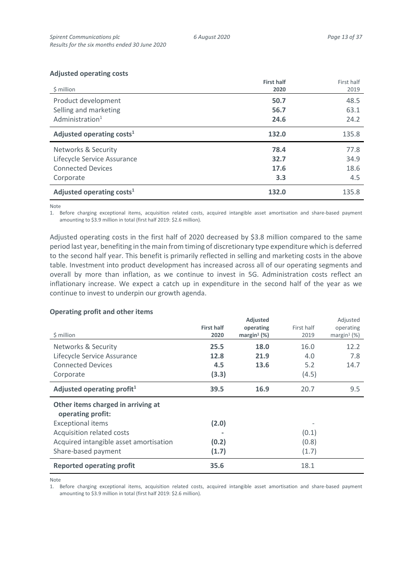## **Adjusted operating costs**

| \$ million                            | <b>First half</b><br>2020 | First half<br>2019 |
|---------------------------------------|---------------------------|--------------------|
| Product development                   | 50.7                      | 48.5               |
| Selling and marketing                 | 56.7                      | 63.1               |
| Administration <sup>1</sup>           | 24.6                      | 24.2               |
| Adjusted operating costs <sup>1</sup> | 132.0                     | 135.8              |
|                                       |                           |                    |
| <b>Networks &amp; Security</b>        | 78.4                      | 77.8               |
| Lifecycle Service Assurance           | 32.7                      | 34.9               |
| <b>Connected Devices</b>              | 17.6                      | 18.6               |
| Corporate                             | 3.3                       | 4.5                |

Note

1. Before charging exceptional items, acquisition related costs, acquired intangible asset amortisation and share-based payment amounting to \$3.9 million in total (first half 2019: \$2.6 million).

Adjusted operating costs in the first half of 2020 decreased by \$3.8 million compared to the same period last year, benefiting in the main from timing of discretionary type expenditure which is deferred to the second half year. This benefit is primarily reflected in selling and marketing costs in the above table. Investment into product development has increased across all of our operating segments and overall by more than inflation, as we continue to invest in 5G. Administration costs reflect an inflationary increase. We expect a catch up in expenditure in the second half of the year as we continue to invest to underpin our growth agenda.

## **Operating profit and other items**

|                                        |                   | Adjusted     |            | Adjusted       |
|----------------------------------------|-------------------|--------------|------------|----------------|
|                                        | <b>First half</b> | operating    | First half | operating      |
| \$ million                             | 2020              | margin $(%)$ | 2019       | margin $1$ (%) |
| <b>Networks &amp; Security</b>         | 25.5              | 18.0         | 16.0       | 12.2           |
| Lifecycle Service Assurance            | 12.8              | 21.9         | 4.0        | 7.8            |
| <b>Connected Devices</b>               | 4.5               | 13.6         | 5.2        | 14.7           |
| Corporate                              | (3.3)             |              | (4.5)      |                |
| Adjusted operating profit $1$          | 39.5              | 16.9         | 20.7       | 9.5            |
| Other items charged in arriving at     |                   |              |            |                |
| operating profit:                      |                   |              |            |                |
| <b>Exceptional items</b>               | (2.0)             |              |            |                |
| Acquisition related costs              |                   |              | (0.1)      |                |
| Acquired intangible asset amortisation | (0.2)             |              | (0.8)      |                |
| Share-based payment                    | (1.7)             |              | (1.7)      |                |
| <b>Reported operating profit</b>       | 35.6              |              | 18.1       |                |

Note

1. Before charging exceptional items, acquisition related costs, acquired intangible asset amortisation and share-based payment amounting to \$3.9 million in total (first half 2019: \$2.6 million).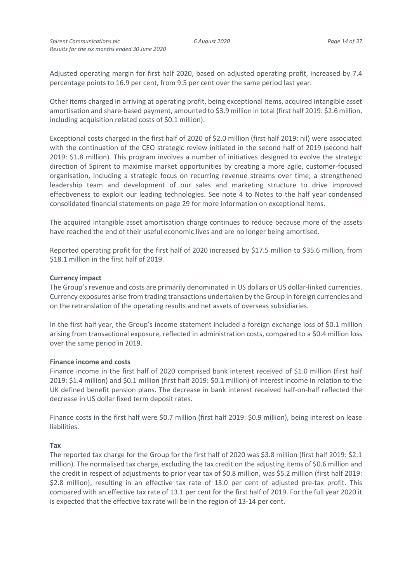Adjusted operating margin for first half 2020, based on adjusted operating profit, increased by 7.4 percentage points to 16.9 per cent, from 9.5 per cent over the same period last year.

Other items charged in arriving at operating profit, being exceptional items, acquired intangible asset amortisation and share-based payment, amounted to \$3.9 million in total (first half 2019: \$2.6 million, including acquisition related costs of \$0.1 million).

Exceptional costs charged in the first half of 2020 of \$2.0 million (first half 2019: nil) were associated with the continuation of the CEO strategic review initiated in the second half of 2019 (second half 2019: \$1.8 million). This program involves a number of initiatives designed to evolve the strategic direction of Spirent to maximise market opportunities by creating a more agile, customer-focused organisation, including a strategic focus on recurring revenue streams over time; a strengthened leadership team and development of our sales and marketing structure to drive improved effectiveness to exploit our leading technologies. See note 4 to Notes to the half year condensed consolidated financial statements on page 29 for more information on exceptional items.

The acquired intangible asset amortisation charge continues to reduce because more of the assets have reached the end of their useful economic lives and are no longer being amortised.

Reported operating profit for the first half of 2020 increased by \$17.5 million to \$35.6 million, from \$18.1 million in the first half of 2019.

## **Currency impact**

The Group's revenue and costs are primarily denominated in US dollars or US dollar-linked currencies. Currency exposures arise from trading transactions undertaken by the Group in foreign currencies and on the retranslation of the operating results and net assets of overseas subsidiaries.

In the first half year, the Group's income statement included a foreign exchange loss of \$0.1 million arising from transactional exposure, reflected in administration costs, compared to a \$0.4 million loss over the same period in 2019.

## **Finance income and costs**

Finance income in the first half of 2020 comprised bank interest received of \$1.0 million (first half 2019: \$1.4 million) and \$0.1 million (first half 2019: \$0.1 million) of interest income in relation to the UK defined benefit pension plans. The decrease in bank interest received half-on-half reflected the decrease in US dollar fixed term deposit rates.

Finance costs in the first half were \$0.7 million (first half 2019: \$0.9 million), being interest on lease liabilities.

## **Tax**

The reported tax charge for the Group for the first half of 2020 was \$3.8 million (first half 2019: \$2.1 million). The normalised tax charge, excluding the tax credit on the adjusting items of \$0.6 million and the credit in respect of adjustments to prior year tax of \$0.8 million, was \$5.2 million (first half 2019: \$2.8 million), resulting in an effective tax rate of 13.0 per cent of adjusted pre-tax profit. This compared with an effective tax rate of 13.1 per cent for the first half of 2019. For the full year 2020 it is expected that the effective tax rate will be in the region of 13-14 per cent.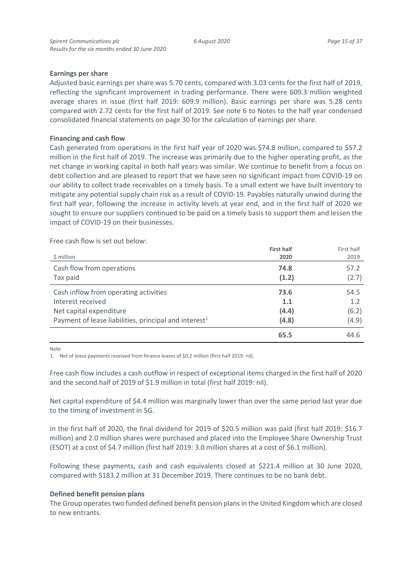## **Earnings per share**

Adjusted basic earnings per share was 5.70 cents, compared with 3.03 cents for the first half of 2019, reflecting the significant improvement in trading performance. There were 609.3 million weighted average shares in issue (first half 2019: 609.9 million). Basic earnings per share was 5.28 cents compared with 2.72 cents for the first half of 2019. See note 6 to Notes to the half year condensed consolidated financial statements on page 30 for the calculation of earnings per share.

## **Financing and cash flow**

Cash generated from operations in the first half year of 2020 was \$74.8 million, compared to \$57.2 million in the first half of 2019. The increase was primarily due to the higher operating profit, as the net change in working capital in both half years was similar. We continue to benefit from a focus on debt collection and are pleased to report that we have seen no significant impact from COVID-19 on our ability to collect trade receivables on a timely basis. To a small extent we have built inventory to mitigate any potential supply chain risk as a result of COVID-19. Payables naturally unwind during the first half year, following the increase in activity levels at year end, and in the first half of 2020 we sought to ensure our suppliers continued to be paid on a timely basis to support them and lessen the impact of COVID-19 on their businesses.

Free cash flow is set out below:

| \$ million                                                        | <b>First half</b><br>2020 | First half<br>2019 |
|-------------------------------------------------------------------|---------------------------|--------------------|
| Cash flow from operations                                         | 74.8                      | 57.2               |
| Tax paid                                                          | (1.2)                     | (2.7)              |
| Cash inflow from operating activities                             | 73.6                      | 54.5               |
| Interest received                                                 | 1.1                       | 1.2                |
| Net capital expenditure                                           | (4.4)                     | (6.2)              |
| Payment of lease liabilities, principal and interest <sup>1</sup> | (4.8)                     | (4.9)              |
|                                                                   | 65.5                      | 44.6               |

Note

1. Net of lease payments received from finance leases of \$0.2 million (first half 2019: nil).

Free cash flow includes a cash outflow in respect of exceptional items charged in the first half of 2020 and the second half of 2019 of \$1.9 million in total (first half 2019: nil).

Net capital expenditure of \$4.4 million was marginally lower than over the same period last year due to the timing of investment in 5G.

In the first half of 2020, the final dividend for 2019 of \$20.5 million was paid (first half 2019: \$16.7 million) and 2.0 million shares were purchased and placed into the Employee Share Ownership Trust (ESOT) at a cost of \$4.7 million (first half 2019: 3.0 million shares at a cost of \$6.1 million).

Following these payments, cash and cash equivalents closed at \$221.4 million at 30 June 2020, compared with \$183.2 million at 31 December 2019. There continues to be no bank debt.

## **Defined benefit pension plans**

The Group operates two funded defined benefit pension plans in the United Kingdom which are closed to new entrants.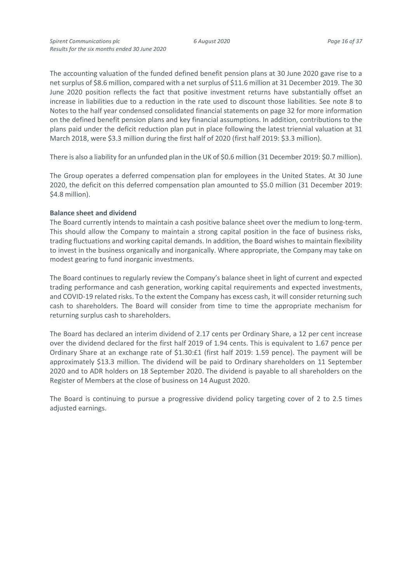The accounting valuation of the funded defined benefit pension plans at 30 June 2020 gave rise to a net surplus of \$8.6 million, compared with a net surplus of \$11.6 million at 31 December 2019. The 30 June 2020 position reflects the fact that positive investment returns have substantially offset an increase in liabilities due to a reduction in the rate used to discount those liabilities. See note 8 to Notes to the half year condensed consolidated financial statements on page 32 for more information on the defined benefit pension plans and key financial assumptions. In addition, contributions to the plans paid under the deficit reduction plan put in place following the latest triennial valuation at 31 March 2018, were \$3.3 million during the first half of 2020 (first half 2019: \$3.3 million).

There is also a liability for an unfunded plan in the UK of \$0.6 million (31 December 2019: \$0.7 million).

The Group operates a deferred compensation plan for employees in the United States. At 30 June 2020, the deficit on this deferred compensation plan amounted to \$5.0 million (31 December 2019: \$4.8 million).

## **Balance sheet and dividend**

The Board currently intends to maintain a cash positive balance sheet over the medium to long-term. This should allow the Company to maintain a strong capital position in the face of business risks, trading fluctuations and working capital demands. In addition, the Board wishes to maintain flexibility to invest in the business organically and inorganically. Where appropriate, the Company may take on modest gearing to fund inorganic investments.

The Board continues to regularly review the Company's balance sheet in light of current and expected trading performance and cash generation, working capital requirements and expected investments, and COVID-19 related risks. To the extent the Company has excess cash, it will consider returning such cash to shareholders. The Board will consider from time to time the appropriate mechanism for returning surplus cash to shareholders.

The Board has declared an interim dividend of 2.17 cents per Ordinary Share, a 12 per cent increase over the dividend declared for the first half 2019 of 1.94 cents. This is equivalent to 1.67 pence per Ordinary Share at an exchange rate of \$1.30:£1 (first half 2019: 1.59 pence). The payment will be approximately \$13.3 million. The dividend will be paid to Ordinary shareholders on 11 September 2020 and to ADR holders on 18 September 2020. The dividend is payable to all shareholders on the Register of Members at the close of business on 14 August 2020.

The Board is continuing to pursue a progressive dividend policy targeting cover of 2 to 2.5 times adjusted earnings.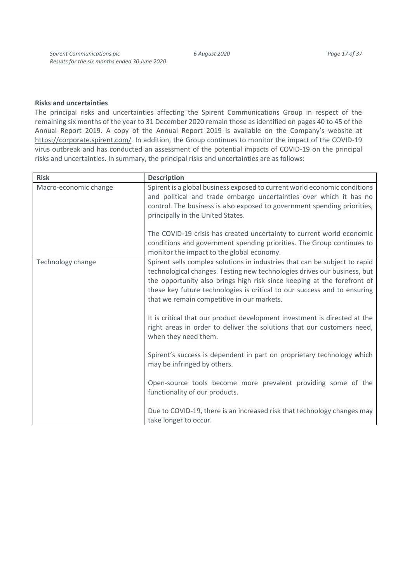## **Risks and uncertainties**

The principal risks and uncertainties affecting the Spirent Communications Group in respect of the remaining six months of the year to 31 December 2020 remain those as identified on pages 40 to 45 of the Annual Report 2019. A copy of the Annual Report 2019 is available on the Company's website at <https://corporate.spirent.com/>*.* In addition, the Group continues to monitor the impact of the COVID-19 virus outbreak and has conducted an assessment of the potential impacts of COVID-19 on the principal risks and uncertainties. In summary, the principal risks and uncertainties are as follows:

| <b>Risk</b>           | <b>Description</b>                                                                                                                                                                                                                                                                                                                                          |
|-----------------------|-------------------------------------------------------------------------------------------------------------------------------------------------------------------------------------------------------------------------------------------------------------------------------------------------------------------------------------------------------------|
| Macro-economic change | Spirent is a global business exposed to current world economic conditions<br>and political and trade embargo uncertainties over which it has no<br>control. The business is also exposed to government spending priorities,<br>principally in the United States.                                                                                            |
|                       | The COVID-19 crisis has created uncertainty to current world economic<br>conditions and government spending priorities. The Group continues to<br>monitor the impact to the global economy.                                                                                                                                                                 |
| Technology change     | Spirent sells complex solutions in industries that can be subject to rapid<br>technological changes. Testing new technologies drives our business, but<br>the opportunity also brings high risk since keeping at the forefront of<br>these key future technologies is critical to our success and to ensuring<br>that we remain competitive in our markets. |
|                       | It is critical that our product development investment is directed at the<br>right areas in order to deliver the solutions that our customers need,<br>when they need them.                                                                                                                                                                                 |
|                       | Spirent's success is dependent in part on proprietary technology which<br>may be infringed by others.                                                                                                                                                                                                                                                       |
|                       | Open-source tools become more prevalent providing some of the<br>functionality of our products.                                                                                                                                                                                                                                                             |
|                       | Due to COVID-19, there is an increased risk that technology changes may<br>take longer to occur.                                                                                                                                                                                                                                                            |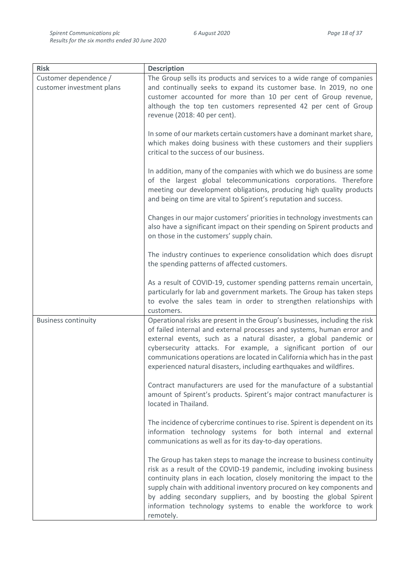| <b>Risk</b>                | <b>Description</b>                                                                                                                               |
|----------------------------|--------------------------------------------------------------------------------------------------------------------------------------------------|
| Customer dependence /      | The Group sells its products and services to a wide range of companies                                                                           |
| customer investment plans  | and continually seeks to expand its customer base. In 2019, no one<br>customer accounted for more than 10 per cent of Group revenue,             |
|                            | although the top ten customers represented 42 per cent of Group                                                                                  |
|                            | revenue (2018: 40 per cent).                                                                                                                     |
|                            | In some of our markets certain customers have a dominant market share,                                                                           |
|                            | which makes doing business with these customers and their suppliers                                                                              |
|                            | critical to the success of our business.                                                                                                         |
|                            | In addition, many of the companies with which we do business are some                                                                            |
|                            | of the largest global telecommunications corporations. Therefore                                                                                 |
|                            | meeting our development obligations, producing high quality products<br>and being on time are vital to Spirent's reputation and success.         |
|                            | Changes in our major customers' priorities in technology investments can                                                                         |
|                            | also have a significant impact on their spending on Spirent products and<br>on those in the customers' supply chain.                             |
|                            | The industry continues to experience consolidation which does disrupt                                                                            |
|                            | the spending patterns of affected customers.                                                                                                     |
|                            | As a result of COVID-19, customer spending patterns remain uncertain,                                                                            |
|                            | particularly for lab and government markets. The Group has taken steps                                                                           |
|                            | to evolve the sales team in order to strengthen relationships with<br>customers.                                                                 |
| <b>Business continuity</b> | Operational risks are present in the Group's businesses, including the risk                                                                      |
|                            | of failed internal and external processes and systems, human error and                                                                           |
|                            | external events, such as a natural disaster, a global pandemic or<br>cybersecurity attacks. For example, a significant portion of our            |
|                            | communications operations are located in California which has in the past                                                                        |
|                            | experienced natural disasters, including earthquakes and wildfires.                                                                              |
|                            | Contract manufacturers are used for the manufacture of a substantial                                                                             |
|                            | amount of Spirent's products. Spirent's major contract manufacturer is                                                                           |
|                            | located in Thailand.                                                                                                                             |
|                            | The incidence of cybercrime continues to rise. Spirent is dependent on its                                                                       |
|                            | information technology systems for both internal and external                                                                                    |
|                            | communications as well as for its day-to-day operations.                                                                                         |
|                            | The Group has taken steps to manage the increase to business continuity                                                                          |
|                            | risk as a result of the COVID-19 pandemic, including invoking business                                                                           |
|                            | continuity plans in each location, closely monitoring the impact to the<br>supply chain with additional inventory procured on key components and |
|                            | by adding secondary suppliers, and by boosting the global Spirent                                                                                |
|                            | information technology systems to enable the workforce to work                                                                                   |
|                            | remotely.                                                                                                                                        |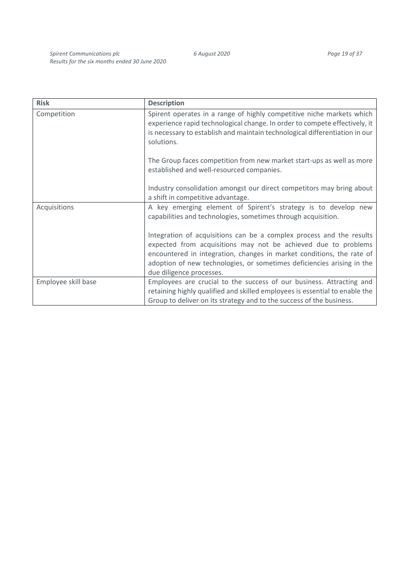| <b>Risk</b>         | <b>Description</b>                                                                                                                                                                                                                                                                                                    |
|---------------------|-----------------------------------------------------------------------------------------------------------------------------------------------------------------------------------------------------------------------------------------------------------------------------------------------------------------------|
| Competition         | Spirent operates in a range of highly competitive niche markets which<br>experience rapid technological change. In order to compete effectively, it<br>is necessary to establish and maintain technological differentiation in our<br>solutions.                                                                      |
|                     | The Group faces competition from new market start-ups as well as more<br>established and well-resourced companies.                                                                                                                                                                                                    |
|                     | Industry consolidation amongst our direct competitors may bring about<br>a shift in competitive advantage.                                                                                                                                                                                                            |
| Acquisitions        | A key emerging element of Spirent's strategy is to develop new<br>capabilities and technologies, sometimes through acquisition.                                                                                                                                                                                       |
|                     | Integration of acquisitions can be a complex process and the results<br>expected from acquisitions may not be achieved due to problems<br>encountered in integration, changes in market conditions, the rate of<br>adoption of new technologies, or sometimes deficiencies arising in the<br>due diligence processes. |
| Employee skill base | Employees are crucial to the success of our business. Attracting and<br>retaining highly qualified and skilled employees is essential to enable the<br>Group to deliver on its strategy and to the success of the business.                                                                                           |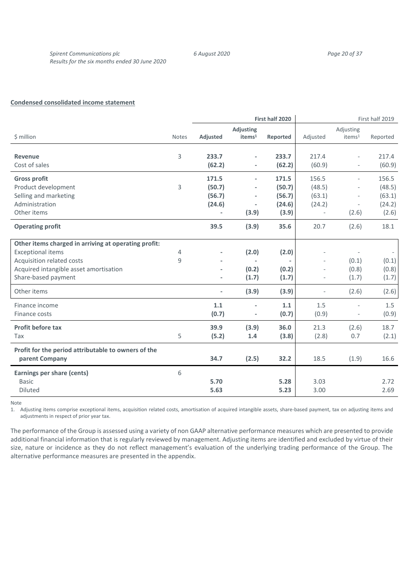## **Condensed consolidated income statement**

|                                                      |       | First half 2020          |                          |                          |                          |                          | First half 2019 |
|------------------------------------------------------|-------|--------------------------|--------------------------|--------------------------|--------------------------|--------------------------|-----------------|
|                                                      |       |                          | <b>Adjusting</b>         |                          |                          | Adjusting                |                 |
| \$ million                                           | Notes | Adjusted                 | items <sup>1</sup>       | Reported                 | Adjusted                 | items <sup>1</sup>       | Reported        |
|                                                      |       |                          |                          |                          |                          |                          |                 |
| <b>Revenue</b>                                       | 3     | 233.7                    | $\overline{\phantom{a}}$ | 233.7                    | 217.4                    |                          | 217.4           |
| Cost of sales                                        |       | (62.2)                   | $\overline{\phantom{a}}$ | (62.2)                   | (60.9)                   | $\overline{\phantom{a}}$ | (60.9)          |
| <b>Gross profit</b>                                  |       | 171.5                    | $\overline{a}$           | 171.5                    | 156.5                    | $\overline{a}$           | 156.5           |
| Product development                                  | 3     | (50.7)                   |                          | (50.7)                   | (48.5)                   |                          | (48.5)          |
| Selling and marketing                                |       | (56.7)                   | $\overline{a}$           | (56.7)                   | (63.1)                   | $\overline{\phantom{0}}$ | (63.1)          |
| Administration                                       |       | (24.6)                   | $\overline{\phantom{a}}$ | (24.6)                   | (24.2)                   | $\overline{\phantom{a}}$ | (24.2)          |
| Other items                                          |       |                          | (3.9)                    | (3.9)                    | $\overline{\phantom{a}}$ | (2.6)                    | (2.6)           |
| <b>Operating profit</b>                              |       | 39.5                     | (3.9)                    | 35.6                     | 20.7                     | (2.6)                    | 18.1            |
| Other items charged in arriving at operating profit: |       |                          |                          |                          |                          |                          |                 |
| <b>Exceptional items</b>                             | 4     | $\overline{\phantom{a}}$ | (2.0)                    | (2.0)                    |                          | $\overline{\phantom{a}}$ |                 |
| Acquisition related costs                            | 9     |                          | $\overline{\phantom{a}}$ | $\overline{\phantom{a}}$ |                          | (0.1)                    | (0.1)           |
| Acquired intangible asset amortisation               |       |                          | (0.2)                    | (0.2)                    |                          | (0.8)                    | (0.8)           |
| Share-based payment                                  |       |                          | (1.7)                    | (1.7)                    | $\overline{\phantom{a}}$ | (1.7)                    | (1.7)           |
| Other items                                          |       | $\bar{\phantom{a}}$      | (3.9)                    | (3.9)                    | $\overline{\phantom{a}}$ | (2.6)                    | (2.6)           |
| Finance income                                       |       | 1.1                      | $\overline{a}$           | 1.1                      | 1.5                      | $\overline{\phantom{0}}$ | 1.5             |
| Finance costs                                        |       | (0.7)                    | $\overline{\phantom{a}}$ | (0.7)                    | (0.9)                    | $\overline{\phantom{a}}$ | (0.9)           |
| Profit before tax                                    |       | 39.9                     | (3.9)                    | 36.0                     | 21.3                     | (2.6)                    | 18.7            |
| Tax                                                  | 5     | (5.2)                    | 1.4                      | (3.8)                    | (2.8)                    | 0.7                      | (2.1)           |
| Profit for the period attributable to owners of the  |       |                          |                          |                          |                          |                          |                 |
| parent Company                                       |       | 34.7                     | (2.5)                    | 32.2                     | 18.5                     | (1.9)                    | 16.6            |
| Earnings per share (cents)                           | 6     |                          |                          |                          |                          |                          |                 |
| <b>Basic</b>                                         |       | 5.70                     |                          | 5.28                     | 3.03                     |                          | 2.72            |
| <b>Diluted</b>                                       |       | 5.63                     |                          | 5.23                     | 3.00                     |                          | 2.69            |

Note

1. Adjusting items comprise exceptional items, acquisition related costs, amortisation of acquired intangible assets, share-based payment, tax on adjusting items and adjustments in respect of prior year tax.

The performance of the Group is assessed using a variety of non GAAP alternative performance measures which are presented to provide additional financial information that is regularly reviewed by management. Adjusting items are identified and excluded by virtue of their size, nature or incidence as they do not reflect management's evaluation of the underlying trading performance of the Group. The alternative performance measures are presented in the appendix.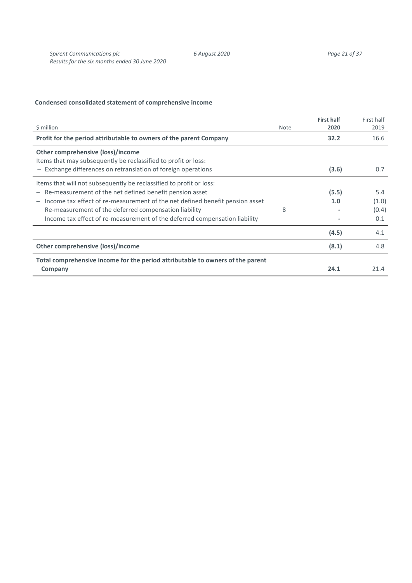## **Condensed consolidated statement of comprehensive income**

|                                                                                                     |      | <b>First half</b> | First half |
|-----------------------------------------------------------------------------------------------------|------|-------------------|------------|
| \$ million                                                                                          | Note | 2020              | 2019       |
| Profit for the period attributable to owners of the parent Company                                  |      | 32.2              | 16.6       |
| Other comprehensive (loss)/income<br>Items that may subsequently be reclassified to profit or loss: |      |                   |            |
| - Exchange differences on retranslation of foreign operations                                       |      | (3.6)             | 0.7        |
| Items that will not subsequently be reclassified to profit or loss:                                 |      |                   |            |
| Re-measurement of the net defined benefit pension asset                                             |      | (5.5)             | 5.4        |
| Income tax effect of re-measurement of the net defined benefit pension asset                        |      | 1.0               | (1.0)      |
| Re-measurement of the deferred compensation liability<br>$\overline{\phantom{m}}$                   | 8    |                   | (0.4)      |
| Income tax effect of re-measurement of the deferred compensation liability                          |      |                   | 0.1        |
|                                                                                                     |      | (4.5)             | 4.1        |
| Other comprehensive (loss)/income                                                                   |      | (8.1)             | 4.8        |
| Total comprehensive income for the period attributable to owners of the parent                      |      |                   |            |
| Company                                                                                             |      | 24.1              | 21.4       |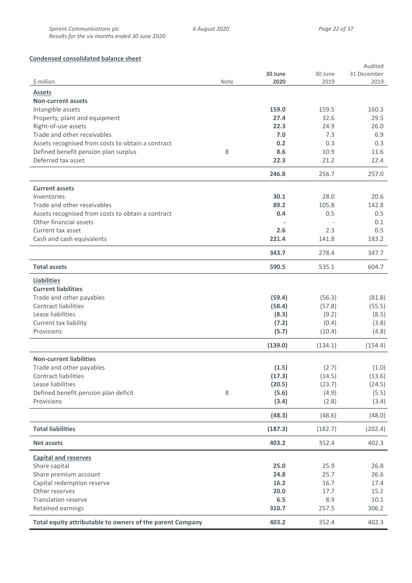## **Condensed consolidated balance sheet**

| \$ million                                                | Note    | 30 June<br>2020 | 30 June<br>2019 | Audited<br>31 December<br>2019 |
|-----------------------------------------------------------|---------|-----------------|-----------------|--------------------------------|
|                                                           |         |                 |                 |                                |
| <b>Assets</b><br><b>Non-current assets</b>                |         |                 |                 |                                |
| Intangible assets                                         |         | 159.0           | 159.5           | 160.3                          |
| Property, plant and equipment                             |         | 27.4            | 32.6            | 29.5                           |
| Right-of-use assets                                       |         | 22.3            | 24.9            | 26.0                           |
| Trade and other receivables                               |         | 7.0             | 7.3             | 6.9                            |
| Assets recognised from costs to obtain a contract         |         | 0.2             | 0.3             | 0.3                            |
| Defined benefit pension plan surplus                      | $\,8\,$ | 8.6             | 10.9            | 11.6                           |
| Deferred tax asset                                        |         | 22.3            | 21.2            | 22.4                           |
|                                                           |         | 246.8           |                 | 257.0                          |
|                                                           |         |                 | 256.7           |                                |
| <b>Current assets</b>                                     |         |                 |                 |                                |
| Inventories                                               |         | 30.1            | 28.0            | 20.6                           |
| Trade and other receivables                               |         | 89.2            | 105.8           | 142.8                          |
| Assets recognised from costs to obtain a contract         |         | 0.4             | 0.5             | 0.5                            |
| Other financial assets                                    |         |                 |                 | 0.1                            |
| Current tax asset<br>Cash and cash equivalents            |         | 2.6             | 2.3             | 0.5                            |
|                                                           |         | 221.4           | 141.8           | 183.2                          |
|                                                           |         | 343.7           | 278.4           | 347.7                          |
| <b>Total assets</b>                                       |         | 590.5           | 535.1           | 604.7                          |
| <b>Liabilities</b><br><b>Current liabilities</b>          |         |                 |                 |                                |
| Trade and other payables                                  |         | (59.4)          | (56.3)          | (81.8)                         |
| <b>Contract liabilities</b>                               |         | (58.4)          | (57.8)          | (55.5)                         |
| Lease liabilities                                         |         | (8.3)           | (9.2)           | (8.5)                          |
| Current tax liability                                     |         | (7.2)           | (0.4)           | (3.8)                          |
| Provisions                                                |         | (5.7)           | (10.4)          | (4.8)                          |
|                                                           |         | (139.0)         | (134.1)         | (154.4)                        |
| <b>Non-current liabilities</b>                            |         |                 |                 |                                |
| Trade and other payables                                  |         | (1.5)           | (2.7)           | (1.0)                          |
| <b>Contract liabilities</b>                               |         | (17.3)          | (14.5)          | (13.6)                         |
| Lease liabilities                                         |         | (20.5)          | (23.7)          | (24.5)                         |
| Defined benefit pension plan deficit                      | $\,8\,$ | (5.6)           | (4.9)           | (5.5)                          |
| Provisions                                                |         | (3.4)           | (2.8)           | (3.4)                          |
|                                                           |         | (48.3)          | (48.6)          | (48.0)                         |
| <b>Total liabilities</b>                                  |         | (187.3)         | (182.7)         | (202.4)                        |
| <b>Net assets</b>                                         |         | 403.2           | 352.4           | 402.3                          |
| <b>Capital and reserves</b>                               |         |                 |                 |                                |
| Share capital                                             |         | 25.0            | 25.9            | 26.8                           |
| Share premium account                                     |         | 24.8            | 25.7            | 26.6                           |
| Capital redemption reserve                                |         | 16.2            | 16.7            | 17.4                           |
| Other reserves                                            |         | 20.0            | 17.7            | 15.2                           |
| Translation reserve                                       |         | 6.5             | 8.9             | 10.1                           |
| Retained earnings                                         |         | 310.7           | 257.5           | 306.2                          |
| Total equity attributable to owners of the parent Company |         | 403.2           | 352.4           | 402.3                          |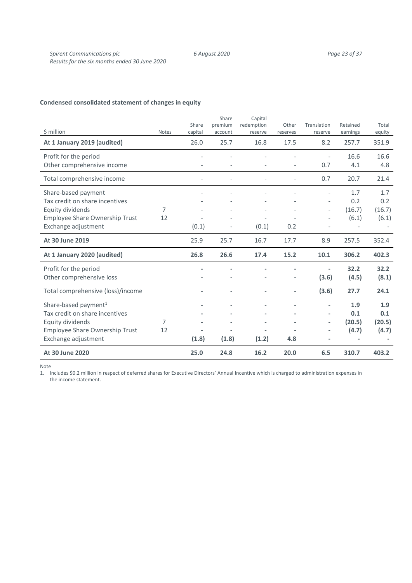## **Condensed consolidated statement of changes in equity**

| \$ million                                                                                                                                             | Notes   | Share<br>capital | Share<br>premium<br>account | Capital<br>redemption<br>reserve | Other<br>reserves | Translation<br>reserve   | Retained<br>earnings          | Total<br>equity               |
|--------------------------------------------------------------------------------------------------------------------------------------------------------|---------|------------------|-----------------------------|----------------------------------|-------------------|--------------------------|-------------------------------|-------------------------------|
| At 1 January 2019 (audited)                                                                                                                            |         | 26.0             | 25.7                        | 16.8                             | 17.5              | 8.2                      | 257.7                         | 351.9                         |
| Profit for the period<br>Other comprehensive income                                                                                                    |         |                  |                             |                                  |                   | 0.7                      | 16.6<br>4.1                   | 16.6<br>4.8                   |
| Total comprehensive income                                                                                                                             |         |                  |                             |                                  |                   | 0.7                      | 20.7                          | 21.4                          |
| Share-based payment<br>Tax credit on share incentives<br>Equity dividends<br>Employee Share Ownership Trust<br>Exchange adjustment                     | 7<br>12 | (0.1)            |                             | (0.1)                            | 0.2               | L,<br>$\overline{a}$     | 1.7<br>0.2<br>(16.7)<br>(6.1) | 1.7<br>0.2<br>(16.7)<br>(6.1) |
| At 30 June 2019                                                                                                                                        |         | 25.9             | 25.7                        | 16.7                             | 17.7              | 8.9                      | 257.5                         | 352.4                         |
| At 1 January 2020 (audited)                                                                                                                            |         | 26.8             | 26.6                        | 17.4                             | 15.2              | 10.1                     | 306.2                         | 402.3                         |
| Profit for the period<br>Other comprehensive loss                                                                                                      |         |                  |                             |                                  |                   | (3.6)                    | 32.2<br>(4.5)                 | 32.2<br>(8.1)                 |
| Total comprehensive (loss)/income                                                                                                                      |         |                  |                             |                                  |                   | (3.6)                    | 27.7                          | 24.1                          |
| Share-based payment <sup>1</sup><br>Tax credit on share incentives<br>Equity dividends<br><b>Employee Share Ownership Trust</b><br>Exchange adjustment | 7<br>12 | (1.8)            | (1.8)                       | (1.2)                            | 4.8               | $\overline{\phantom{0}}$ | 1.9<br>0.1<br>(20.5)<br>(4.7) | 1.9<br>0.1<br>(20.5)<br>(4.7) |
| At 30 June 2020                                                                                                                                        |         | 25.0             | 24.8                        | 16.2                             | 20.0              | 6.5                      | 310.7                         | 403.2                         |

Note

1. Includes \$0.2 million in respect of deferred shares for Executive Directors' Annual Incentive which is charged to administration expenses in the income statement.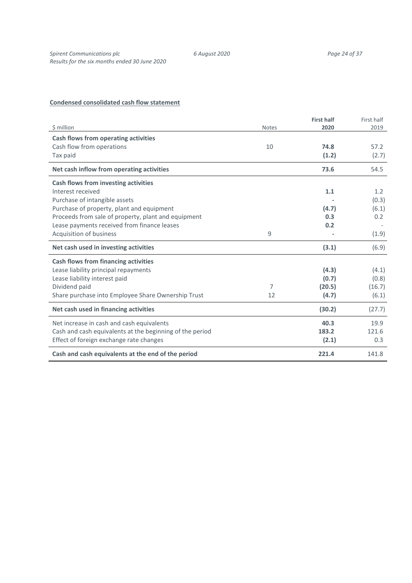## **Condensed consolidated cash flow statement**

| \$ million                                               | <b>Notes</b> | <b>First half</b><br>2020 | First half<br>2019 |
|----------------------------------------------------------|--------------|---------------------------|--------------------|
| Cash flows from operating activities                     |              |                           |                    |
| Cash flow from operations                                | 10           | 74.8                      | 57.2               |
| Tax paid                                                 |              | (1.2)                     | (2.7)              |
| Net cash inflow from operating activities                |              | 73.6                      | 54.5               |
|                                                          |              |                           |                    |
| <b>Cash flows from investing activities</b>              |              |                           |                    |
| Interest received                                        |              | 1.1                       | 1.2                |
| Purchase of intangible assets                            |              |                           | (0.3)              |
| Purchase of property, plant and equipment                |              | (4.7)                     | (6.1)              |
| Proceeds from sale of property, plant and equipment      |              | 0.3                       | 0.2                |
| Lease payments received from finance leases              |              | 0.2                       |                    |
| Acquisition of business                                  | 9            |                           | (1.9)              |
| Net cash used in investing activities                    |              | (3.1)                     | (6.9)              |
| Cash flows from financing activities                     |              |                           |                    |
| Lease liability principal repayments                     |              | (4.3)                     | (4.1)              |
| Lease liability interest paid                            |              | (0.7)                     | (0.8)              |
| Dividend paid                                            | 7            | (20.5)                    | (16.7)             |
| Share purchase into Employee Share Ownership Trust       | 12           | (4.7)                     | (6.1)              |
| Net cash used in financing activities                    |              | (30.2)                    | (27.7)             |
| Net increase in cash and cash equivalents                |              | 40.3                      | 19.9               |
| Cash and cash equivalents at the beginning of the period |              | 183.2                     | 121.6              |
| Effect of foreign exchange rate changes                  |              | (2.1)                     | 0.3                |
| Cash and cash equivalents at the end of the period       |              | 221.4                     | 141.8              |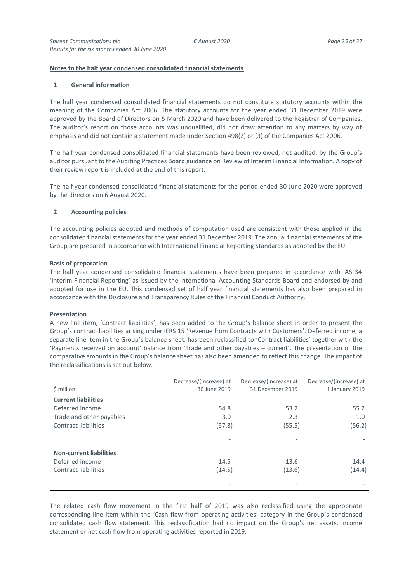### **Notes to the half year condensed consolidated financial statements**

### **1 General information**

The half year condensed consolidated financial statements do not constitute statutory accounts within the meaning of the Companies Act 2006. The statutory accounts for the year ended 31 December 2019 were approved by the Board of Directors on 5 March 2020 and have been delivered to the Registrar of Companies. The auditor's report on those accounts was unqualified, did not draw attention to any matters by way of emphasis and did not contain a statement made under Section 498(2) or (3) of the Companies Act 2006.

The half year condensed consolidated financial statements have been reviewed, not audited, by the Group's auditor pursuant to the Auditing Practices Board guidance on Review of Interim Financial Information. A copy of their review report is included at the end of this report.

The half year condensed consolidated financial statements for the period ended 30 June 2020 were approved by the directors on 6 August 2020.

### **2 Accounting policies**

The accounting policies adopted and methods of computation used are consistent with those applied in the consolidated financial statements for the year ended 31 December 2019. The annual financial statements of the Group are prepared in accordance with International Financial Reporting Standards as adopted by the EU.

### **Basis of preparation**

The half year condensed consolidated financial statements have been prepared in accordance with IAS 34 'Interim Financial Reporting' as issued by the International Accounting Standards Board and endorsed by and adopted for use in the EU. This condensed set of half year financial statements has also been prepared in accordance with the Disclosure and Transparency Rules of the Financial Conduct Authority.

#### **Presentation**

A new line item, 'Contract liabilities', has been added to the Group's balance sheet in order to present the Group's contract liabilities arising under IFRS 15 'Revenue from Contracts with Customers'. Deferred income, a separate line item in the Group's balance sheet, has been reclassified to 'Contract liabilities' together with the 'Payments received on account' balance from 'Trade and other payables – current'. The presentation of the comparative amounts in the Group's balance sheet has also been amended to reflect this change. The impact of the reclassifications is set out below.

|                                | Decrease/(increase) at | Decrease/(increase) at | Decrease/(increase) at |
|--------------------------------|------------------------|------------------------|------------------------|
| \$ million                     | 30 June 2019           | 31 December 2019       | 1 January 2019         |
| <b>Current liabilities</b>     |                        |                        |                        |
| Deferred income                | 54.8                   | 53.2                   | 55.2                   |
| Trade and other payables       | 3.0                    | 2.3                    | 1.0                    |
| <b>Contract liabilities</b>    | (57.8)                 | (55.5)                 | (56.2)                 |
|                                | ٠                      |                        |                        |
| <b>Non-current liabilities</b> |                        |                        |                        |
| Deferred income                | 14.5                   | 13.6                   | 14.4                   |
| <b>Contract liabilities</b>    | (14.5)                 | (13.6)                 | (14.4)                 |
|                                |                        |                        |                        |

The related cash flow movement in the first half of 2019 was also reclassified using the appropriate corresponding line item within the 'Cash flow from operating activities' category in the Group's condensed consolidated cash flow statement. This reclassification had no impact on the Group's net assets, income statement or net cash flow from operating activities reported in 2019.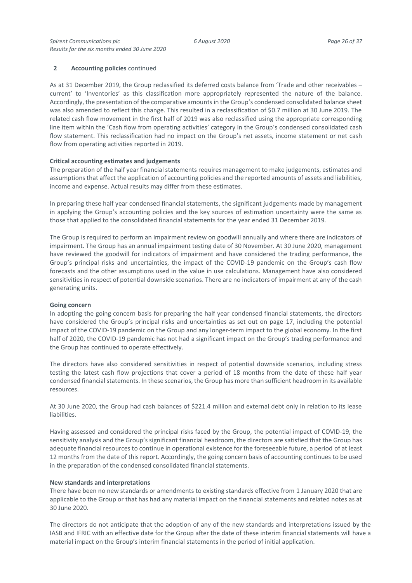### **2 Accounting policies** continued

As at 31 December 2019, the Group reclassified its deferred costs balance from 'Trade and other receivables – current' to 'Inventories' as this classification more appropriately represented the nature of the balance. Accordingly, the presentation of the comparative amounts in the Group's condensed consolidated balance sheet was also amended to reflect this change. This resulted in a reclassification of \$0.7 million at 30 June 2019. The related cash flow movement in the first half of 2019 was also reclassified using the appropriate corresponding line item within the 'Cash flow from operating activities' category in the Group's condensed consolidated cash flow statement. This reclassification had no impact on the Group's net assets, income statement or net cash flow from operating activities reported in 2019.

### **Critical accounting estimates and judgements**

The preparation of the half year financial statements requires management to make judgements, estimates and assumptions that affect the application of accounting policies and the reported amounts of assets and liabilities, income and expense. Actual results may differ from these estimates.

In preparing these half year condensed financial statements, the significant judgements made by management in applying the Group's accounting policies and the key sources of estimation uncertainty were the same as those that applied to the consolidated financial statements for the year ended 31 December 2019.

The Group is required to perform an impairment review on goodwill annually and where there are indicators of impairment. The Group has an annual impairment testing date of 30 November. At 30 June 2020, management have reviewed the goodwill for indicators of impairment and have considered the trading performance, the Group's principal risks and uncertainties, the impact of the COVID-19 pandemic on the Group's cash flow forecasts and the other assumptions used in the value in use calculations. Management have also considered sensitivities in respect of potential downside scenarios. There are no indicators of impairment at any of the cash generating units.

#### **Going concern**

In adopting the going concern basis for preparing the half year condensed financial statements, the directors have considered the Group's principal risks and uncertainties as set out on page 17, including the potential impact of the COVID-19 pandemic on the Group and any longer-term impact to the global economy. In the first half of 2020, the COVID-19 pandemic has not had a significant impact on the Group's trading performance and the Group has continued to operate effectively.

The directors have also considered sensitivities in respect of potential downside scenarios, including stress testing the latest cash flow projections that cover a period of 18 months from the date of these half year condensed financial statements. In these scenarios, the Group has more than sufficient headroom in its available resources.

At 30 June 2020, the Group had cash balances of \$221.4 million and external debt only in relation to its lease liabilities.

Having assessed and considered the principal risks faced by the Group, the potential impact of COVID-19, the sensitivity analysis and the Group's significant financial headroom, the directors are satisfied that the Group has adequate financial resources to continue in operational existence for the foreseeable future, a period of at least 12 months from the date of this report. Accordingly, the going concern basis of accounting continues to be used in the preparation of the condensed consolidated financial statements.

#### **New standards and interpretations**

There have been no new standards or amendments to existing standards effective from 1 January 2020 that are applicable to the Group or that has had any material impact on the financial statements and related notes as at 30 June 2020.

The directors do not anticipate that the adoption of any of the new standards and interpretations issued by the IASB and IFRIC with an effective date for the Group after the date of these interim financial statements will have a material impact on the Group's interim financial statements in the period of initial application.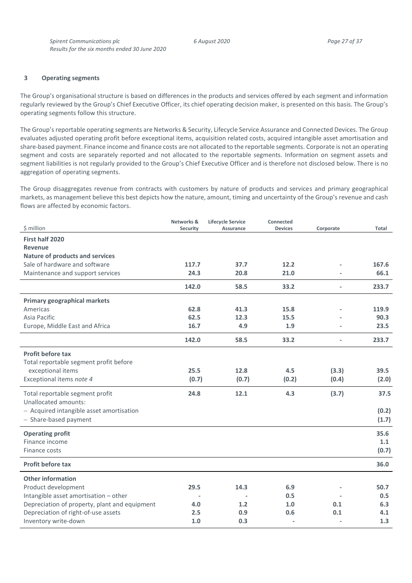### **3 Operating segments**

The Group's organisational structure is based on differences in the products and services offered by each segment and information regularly reviewed by the Group's Chief Executive Officer, its chief operating decision maker, is presented on this basis. The Group's operating segments follow this structure.

The Group's reportable operating segments are Networks & Security, Lifecycle Service Assurance and Connected Devices. The Group evaluates adjusted operating profit before exceptional items, acquisition related costs, acquired intangible asset amortisation and share-based payment. Finance income and finance costs are not allocated to the reportable segments. Corporate is not an operating segment and costs are separately reported and not allocated to the reportable segments. Information on segment assets and segment liabilities is not regularly provided to the Group's Chief Executive Officer and is therefore not disclosed below. There is no aggregation of operating segments.

The Group disaggregates revenue from contracts with customers by nature of products and services and primary geographical markets, as management believe this best depicts how the nature, amount, timing and uncertainty of the Group's revenue and cash flows are affected by economic factors.

| \$ million                                    | Networks &<br>Security | <b>Lifecycle Service</b><br>Assurance | Connected<br><b>Devices</b> | Corporate                | <b>Total</b> |
|-----------------------------------------------|------------------------|---------------------------------------|-----------------------------|--------------------------|--------------|
| First half 2020                               |                        |                                       |                             |                          |              |
| Revenue                                       |                        |                                       |                             |                          |              |
| <b>Nature of products and services</b>        |                        |                                       |                             |                          |              |
| Sale of hardware and software                 | 117.7                  | 37.7                                  | 12.2                        | $\overline{a}$           | 167.6        |
| Maintenance and support services              | 24.3                   | 20.8                                  | 21.0                        |                          | 66.1         |
|                                               | 142.0                  | 58.5                                  | 33.2                        | $\overline{\phantom{0}}$ | 233.7        |
| <b>Primary geographical markets</b>           |                        |                                       |                             |                          |              |
| Americas                                      | 62.8                   | 41.3                                  | 15.8                        |                          | 119.9        |
| Asia Pacific                                  | 62.5                   | 12.3                                  | 15.5                        |                          | 90.3         |
| Europe, Middle East and Africa                | 16.7                   | 4.9                                   | 1.9                         |                          | 23.5         |
|                                               | 142.0                  | 58.5                                  | 33.2                        |                          | 233.7        |
| <b>Profit before tax</b>                      |                        |                                       |                             |                          |              |
| Total reportable segment profit before        |                        |                                       |                             |                          |              |
| exceptional items                             | 25.5                   | 12.8                                  | 4.5                         | (3.3)                    | 39.5         |
| Exceptional items note 4                      | (0.7)                  | (0.7)                                 | (0.2)                       | (0.4)                    | (2.0)        |
| Total reportable segment profit               | 24.8                   | 12.1                                  | 4.3                         | (3.7)                    | 37.5         |
| Unallocated amounts:                          |                        |                                       |                             |                          |              |
| - Acquired intangible asset amortisation      |                        |                                       |                             |                          | (0.2)        |
| - Share-based payment                         |                        |                                       |                             |                          | (1.7)        |
| <b>Operating profit</b>                       |                        |                                       |                             |                          | 35.6         |
| Finance income                                |                        |                                       |                             |                          | 1.1          |
| Finance costs                                 |                        |                                       |                             |                          | (0.7)        |
| <b>Profit before tax</b>                      |                        |                                       |                             |                          | 36.0         |
| <b>Other information</b>                      |                        |                                       |                             |                          |              |
| Product development                           | 29.5                   | 14.3                                  | 6.9                         |                          | 50.7         |
| Intangible asset amortisation - other         |                        |                                       | 0.5                         |                          | 0.5          |
| Depreciation of property, plant and equipment | 4.0                    | 1.2                                   | 1.0                         | 0.1                      | 6.3          |
| Depreciation of right-of-use assets           | 2.5                    | 0.9                                   | 0.6                         | 0.1                      | 4.1          |
| Inventory write-down                          | 1.0                    | 0.3                                   |                             |                          | 1.3          |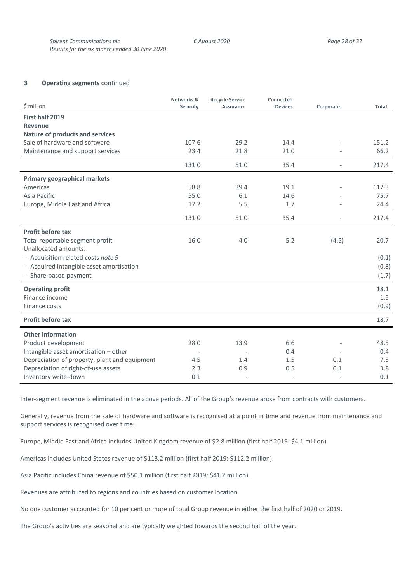### **3 Operating segments** continued

| \$ million                                    | <b>Networks &amp;</b><br>Security | <b>Lifecycle Service</b><br><b>Assurance</b> | Connected<br><b>Devices</b> | Corporate                | Total |
|-----------------------------------------------|-----------------------------------|----------------------------------------------|-----------------------------|--------------------------|-------|
| First half 2019<br>Revenue                    |                                   |                                              |                             |                          |       |
| Nature of products and services               |                                   |                                              |                             |                          |       |
| Sale of hardware and software                 | 107.6                             | 29.2                                         | 14.4                        |                          | 151.2 |
| Maintenance and support services              | 23.4                              | 21.8                                         | 21.0                        |                          | 66.2  |
|                                               | 131.0                             | 51.0                                         | 35.4                        | $\overline{\phantom{a}}$ | 217.4 |
| <b>Primary geographical markets</b>           |                                   |                                              |                             |                          |       |
| Americas                                      | 58.8                              | 39.4                                         | 19.1                        |                          | 117.3 |
| Asia Pacific                                  | 55.0                              | 6.1                                          | 14.6                        |                          | 75.7  |
| Europe, Middle East and Africa                | 17.2                              | 5.5                                          | 1.7                         |                          | 24.4  |
|                                               | 131.0                             | 51.0                                         | 35.4                        |                          | 217.4 |
| <b>Profit before tax</b>                      |                                   |                                              |                             |                          |       |
| Total reportable segment profit               | 16.0                              | 4.0                                          | 5.2                         | (4.5)                    | 20.7  |
| Unallocated amounts:                          |                                   |                                              |                             |                          |       |
| - Acquisition related costs note 9            |                                   |                                              |                             |                          | (0.1) |
| - Acquired intangible asset amortisation      |                                   |                                              |                             |                          | (0.8) |
| - Share-based payment                         |                                   |                                              |                             |                          | (1.7) |
| <b>Operating profit</b>                       |                                   |                                              |                             |                          | 18.1  |
| Finance income                                |                                   |                                              |                             |                          | 1.5   |
| Finance costs                                 |                                   |                                              |                             |                          | (0.9) |
| Profit before tax                             |                                   |                                              |                             |                          | 18.7  |
| <b>Other information</b>                      |                                   |                                              |                             |                          |       |
| Product development                           | 28.0                              | 13.9                                         | 6.6                         |                          | 48.5  |
| Intangible asset amortisation - other         |                                   |                                              | 0.4                         |                          | 0.4   |
| Depreciation of property, plant and equipment | 4.5                               | 1.4                                          | 1.5                         | 0.1                      | 7.5   |
| Depreciation of right-of-use assets           | 2.3                               | 0.9                                          | 0.5                         | 0.1                      | 3.8   |
| Inventory write-down                          | 0.1                               |                                              |                             |                          | 0.1   |

Inter-segment revenue is eliminated in the above periods. All of the Group's revenue arose from contracts with customers.

Generally, revenue from the sale of hardware and software is recognised at a point in time and revenue from maintenance and support services is recognised over time.

Europe, Middle East and Africa includes United Kingdom revenue of \$2.8 million (first half 2019: \$4.1 million).

Americas includes United States revenue of \$113.2 million (first half 2019: \$112.2 million).

Asia Pacific includes China revenue of \$50.1 million (first half 2019: \$41.2 million).

Revenues are attributed to regions and countries based on customer location.

No one customer accounted for 10 per cent or more of total Group revenue in either the first half of 2020 or 2019.

The Group's activities are seasonal and are typically weighted towards the second half of the year.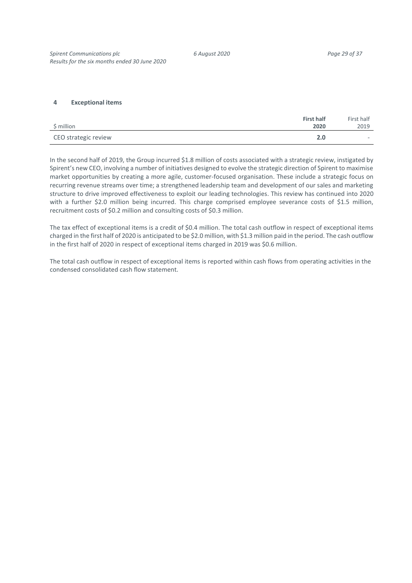#### **4 Exceptional items**

|                      | <b>First half</b> | First half |
|----------------------|-------------------|------------|
| \$ million           | 2020              | 2019       |
| CEO strategic review | 2.0               | $\sim$     |

In the second half of 2019, the Group incurred \$1.8 million of costs associated with a strategic review, instigated by Spirent's new CEO, involving a number of initiatives designed to evolve the strategic direction of Spirent to maximise market opportunities by creating a more agile, customer-focused organisation. These include a strategic focus on recurring revenue streams over time; a strengthened leadership team and development of our sales and marketing structure to drive improved effectiveness to exploit our leading technologies. This review has continued into 2020 with a further \$2.0 million being incurred. This charge comprised employee severance costs of \$1.5 million, recruitment costs of \$0.2 million and consulting costs of \$0.3 million.

The tax effect of exceptional items is a credit of \$0.4 million. The total cash outflow in respect of exceptional items charged in the first half of 2020 is anticipated to be \$2.0 million, with \$1.3 million paid in the period. The cash outflow in the first half of 2020 in respect of exceptional items charged in 2019 was \$0.6 million.

The total cash outflow in respect of exceptional items is reported within cash flows from operating activities in the condensed consolidated cash flow statement.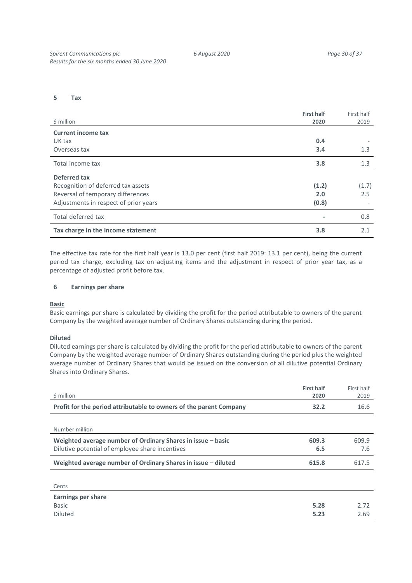### **5 Tax**

| \$ million                            | <b>First half</b><br>2020 | First half<br>2019 |
|---------------------------------------|---------------------------|--------------------|
| <b>Current income tax</b>             |                           |                    |
| UK tax                                | 0.4                       |                    |
| Overseas tax                          | 3.4                       | 1.3                |
| Total income tax                      | 3.8                       | 1.3                |
| Deferred tax                          |                           |                    |
| Recognition of deferred tax assets    | (1.2)                     | (1.7)              |
| Reversal of temporary differences     | 2.0                       | 2.5                |
| Adjustments in respect of prior years | (0.8)                     |                    |
| Total deferred tax                    | ۰                         | 0.8                |
| Tax charge in the income statement    | 3.8                       | 2.1                |

The effective tax rate for the first half year is 13.0 per cent (first half 2019: 13.1 per cent), being the current period tax charge, excluding tax on adjusting items and the adjustment in respect of prior year tax, as a percentage of adjusted profit before tax.

### **6 Earnings per share**

**Basic**

Basic earnings per share is calculated by dividing the profit for the period attributable to owners of the parent Company by the weighted average number of Ordinary Shares outstanding during the period.

### **Diluted**

Diluted earnings per share is calculated by dividing the profit for the period attributable to owners of the parent Company by the weighted average number of Ordinary Shares outstanding during the period plus the weighted average number of Ordinary Shares that would be issued on the conversion of all dilutive potential Ordinary Shares into Ordinary Shares.

| \$ million                                                         | <b>First half</b><br>2020 | First half<br>2019 |
|--------------------------------------------------------------------|---------------------------|--------------------|
| Profit for the period attributable to owners of the parent Company | 32.2                      | 16.6               |
|                                                                    |                           |                    |
| Number million                                                     |                           |                    |
| Weighted average number of Ordinary Shares in issue - basic        | 609.3                     | 609.9              |
| Dilutive potential of employee share incentives                    | 6.5                       | 7.6                |
| Weighted average number of Ordinary Shares in issue - diluted      | 615.8                     | 617.5              |
|                                                                    |                           |                    |
| Cents                                                              |                           |                    |
| <b>Earnings per share</b>                                          |                           |                    |
| <b>Basic</b>                                                       | 5.28                      | 2.72               |
| <b>Diluted</b>                                                     | 5.23                      | 2.69               |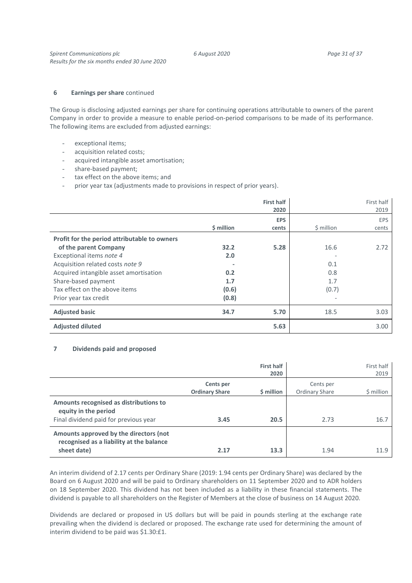#### **6 Earnings per share** continued

The Group is disclosing adjusted earnings per share for continuing operations attributable to owners of the parent Company in order to provide a measure to enable period-on-period comparisons to be made of its performance. The following items are excluded from adjusted earnings:

- exceptional items;
- acquisition related costs;
- acquired intangible asset amortisation;
- share-based payment;
- tax effect on the above items; and
- prior year tax (adjustments made to provisions in respect of prior years).

|                                              |            | <b>First half</b><br>2020 |            | First half<br>2019 |
|----------------------------------------------|------------|---------------------------|------------|--------------------|
|                                              |            | <b>EPS</b>                |            | <b>EPS</b>         |
|                                              | \$ million | cents                     | \$ million | cents              |
| Profit for the period attributable to owners |            |                           |            |                    |
| of the parent Company                        | 32.2       | 5.28                      | 16.6       | 2.72               |
| Exceptional items note 4                     | 2.0        |                           |            |                    |
| Acquisition related costs note 9             |            |                           | 0.1        |                    |
| Acquired intangible asset amortisation       | 0.2        |                           | 0.8        |                    |
| Share-based payment                          | 1.7        |                           | 1.7        |                    |
| Tax effect on the above items                | (0.6)      |                           | (0.7)      |                    |
| Prior year tax credit                        | (0.8)      |                           |            |                    |
| <b>Adjusted basic</b>                        | 34.7       | 5.70                      | 18.5       | 3.03               |
| <b>Adjusted diluted</b>                      |            | 5.63                      |            | 3.00               |

### **7 Dividends paid and proposed**

|                                                                                                         |                                    | <b>First half</b><br>2020 |                             | First half<br>2019 |
|---------------------------------------------------------------------------------------------------------|------------------------------------|---------------------------|-----------------------------|--------------------|
|                                                                                                         | Cents per<br><b>Ordinary Share</b> | \$ million                | Cents per<br>Ordinary Share | \$ million         |
| Amounts recognised as distributions to<br>equity in the period<br>Final dividend paid for previous year | 3.45                               | 20.5                      | 2.73                        | 16.7               |
| Amounts approved by the directors (not<br>recognised as a liability at the balance<br>sheet date)       | 2.17                               | 13.3                      | 1.94                        | 11.9               |

An interim dividend of 2.17 cents per Ordinary Share (2019: 1.94 cents per Ordinary Share) was declared by the Board on 6 August 2020 and will be paid to Ordinary shareholders on 11 September 2020 and to ADR holders on 18 September 2020. This dividend has not been included as a liability in these financial statements. The dividend is payable to all shareholders on the Register of Members at the close of business on 14 August 2020.

Dividends are declared or proposed in US dollars but will be paid in pounds sterling at the exchange rate prevailing when the dividend is declared or proposed. The exchange rate used for determining the amount of interim dividend to be paid was \$1.30:£1.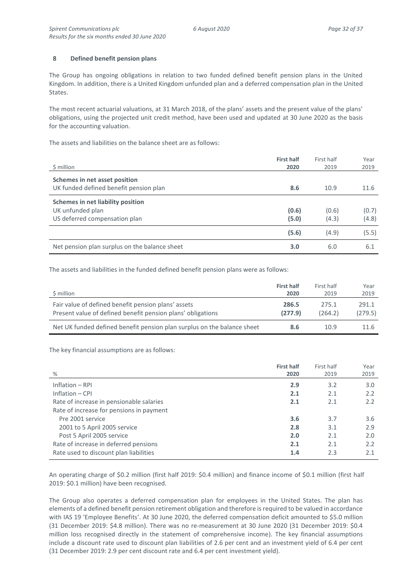## **8 Defined benefit pension plans**

The Group has ongoing obligations in relation to two funded defined benefit pension plans in the United Kingdom. In addition, there is a United Kingdom unfunded plan and a deferred compensation plan in the United States.

The most recent actuarial valuations, at 31 March 2018, of the plans' assets and the present value of the plans' obligations, using the projected unit credit method, have been used and updated at 30 June 2020 as the basis for the accounting valuation.

The assets and liabilities on the balance sheet are as follows:

| \$ million                                                                             | <b>First half</b><br>2020 | First half<br>2019 | Year<br>2019   |
|----------------------------------------------------------------------------------------|---------------------------|--------------------|----------------|
| Schemes in net asset position<br>UK funded defined benefit pension plan                | 8.6                       | 10.9               | 11.6           |
| Schemes in net liability position<br>UK unfunded plan<br>US deferred compensation plan | (0.6)<br>(5.0)            | (0.6)<br>(4.3)     | (0.7)<br>(4.8) |
|                                                                                        | (5.6)                     | (4.9)              | (5.5)          |
| Net pension plan surplus on the balance sheet                                          | 3.0                       | 6.0                | 6.1            |

The assets and liabilities in the funded defined benefit pension plans were as follows:

| \$ million                                                              | <b>First half</b> | First half | Year    |
|-------------------------------------------------------------------------|-------------------|------------|---------|
|                                                                         | 2020              | 2019       | 2019    |
| Fair value of defined benefit pension plans' assets                     | 286.5             | 275.1      | 291.1   |
| Present value of defined benefit pension plans' obligations             | (277.9)           | (264.2)    | (279.5) |
| Net UK funded defined benefit pension plan surplus on the balance sheet | 8.6               | 10.9       | 11.6    |

The key financial assumptions are as follows:

| %                                        | <b>First half</b><br>2020 | First half<br>2019 | Year<br>2019 |
|------------------------------------------|---------------------------|--------------------|--------------|
| Inflation $-$ RPI                        | 2.9                       | 3.2                | 3.0          |
| Inflation $-$ CPI                        | 2.1                       | 2.1                | 2.2          |
| Rate of increase in pensionable salaries | 2.1                       | 2.1                | 2.2          |
| Rate of increase for pensions in payment |                           |                    |              |
| Pre 2001 service                         | 3.6                       | 3.7                | 3.6          |
| 2001 to 5 April 2005 service             | 2.8                       | 3.1                | 2.9          |
| Post 5 April 2005 service                | 2.0                       | 2.1                | 2.0          |
| Rate of increase in deferred pensions    | 2.1                       | 2.1                | 2.2          |
| Rate used to discount plan liabilities   | 1.4                       | 2.3                | 2.1          |

An operating charge of \$0.2 million (first half 2019: \$0.4 million) and finance income of \$0.1 million (first half 2019: \$0.1 million) have been recognised.

The Group also operates a deferred compensation plan for employees in the United States. The plan has elements of a defined benefit pension retirement obligation and therefore is required to be valued in accordance with IAS 19 'Employee Benefits'. At 30 June 2020, the deferred compensation deficit amounted to \$5.0 million (31 December 2019: \$4.8 million). There was no re-measurement at 30 June 2020 (31 December 2019: \$0.4 million loss recognised directly in the statement of comprehensive income). The key financial assumptions include a discount rate used to discount plan liabilities of 2.6 per cent and an investment yield of 6.4 per cent (31 December 2019: 2.9 per cent discount rate and 6.4 per cent investment yield).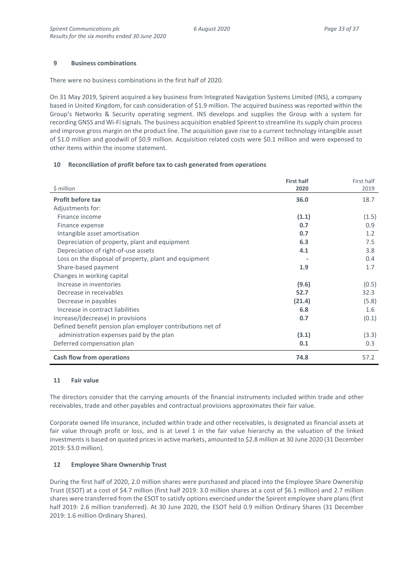## **9 Business combinations**

There were no business combinations in the first half of 2020.

On 31 May 2019, Spirent acquired a key business from Integrated Navigation Systems Limited (INS), a company based in United Kingdom, for cash consideration of \$1.9 million. The acquired business was reported within the Group's Networks & Security operating segment. INS develops and supplies the Group with a system for recording GNSS and Wi-Fi signals. The business acquisition enabled Spirent to streamline its supply chain process and improve gross margin on the product line. The acquisition gave rise to a current technology intangible asset of \$1.0 million and goodwill of \$0.9 million. Acquisition related costs were \$0.1 million and were expensed to other items within the income statement.

### **10 Reconciliation of profit before tax to cash generated from operations**

| \$ million                                                 | <b>First half</b><br>2020 | First half<br>2019 |
|------------------------------------------------------------|---------------------------|--------------------|
| <b>Profit before tax</b>                                   | 36.0                      | 18.7               |
| Adjustments for:                                           |                           |                    |
| Finance income                                             | (1.1)                     | (1.5)              |
| Finance expense                                            | 0.7                       | 0.9                |
| Intangible asset amortisation                              | 0.7                       | 1.2                |
| Depreciation of property, plant and equipment              | 6.3                       | 7.5                |
| Depreciation of right-of-use assets                        | 4.1                       | 3.8                |
| Loss on the disposal of property, plant and equipment      |                           | 0.4                |
| Share-based payment                                        | 1.9                       | 1.7                |
| Changes in working capital                                 |                           |                    |
| Increase in inventories                                    | (9.6)                     | (0.5)              |
| Decrease in receivables                                    | 52.7                      | 32.3               |
| Decrease in payables                                       | (21.4)                    | (5.8)              |
| Increase in contract liabilities                           | 6.8                       | 1.6                |
| Increase/(decrease) in provisions                          | 0.7                       | (0.1)              |
| Defined benefit pension plan employer contributions net of |                           |                    |
| administration expenses paid by the plan                   | (3.1)                     | (3.3)              |
| Deferred compensation plan                                 | 0.1                       | 0.3                |
| <b>Cash flow from operations</b>                           | 74.8                      | 57.2               |

#### **11 Fair value**

The directors consider that the carrying amounts of the financial instruments included within trade and other receivables, trade and other payables and contractual provisions approximates their fair value.

Corporate owned life insurance, included within trade and other receivables, is designated as financial assets at fair value through profit or loss, and is at Level 1 in the fair value hierarchy as the valuation of the linked investments is based on quoted prices in active markets, amounted to \$2.8 million at 30 June 2020 (31 December 2019: \$3.0 million).

## **12 Employee Share Ownership Trust**

During the first half of 2020, 2.0 million shares were purchased and placed into the Employee Share Ownership Trust (ESOT) at a cost of \$4.7 million (first half 2019: 3.0 million shares at a cost of \$6.1 million) and 2.7 million shares were transferred from the ESOT to satisfy options exercised under the Spirent employee share plans (first half 2019: 2.6 million transferred). At 30 June 2020, the ESOT held 0.9 million Ordinary Shares (31 December 2019: 1.6 million Ordinary Shares).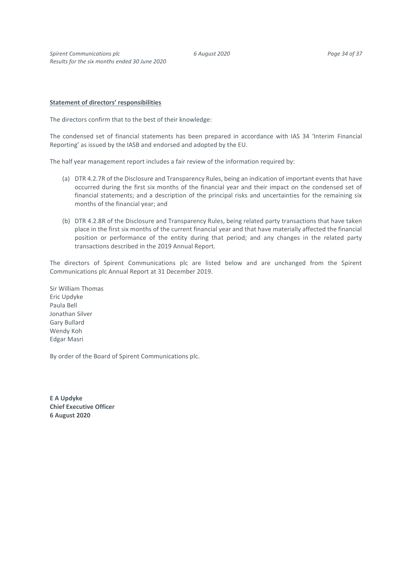*Spirent Communications plc 6 August 2020 Page 34 of 37 Results for the six months ended 30 June 2020*

**Statement of directors' responsibilities**

The directors confirm that to the best of their knowledge:

The condensed set of financial statements has been prepared in accordance with IAS 34 'Interim Financial Reporting' as issued by the IASB and endorsed and adopted by the EU.

The half year management report includes a fair review of the information required by:

- (a) DTR 4.2.7R of the Disclosure and Transparency Rules, being an indication of important events that have occurred during the first six months of the financial year and their impact on the condensed set of financial statements; and a description of the principal risks and uncertainties for the remaining six months of the financial year; and
- (b) DTR 4.2.8R of the Disclosure and Transparency Rules, being related party transactions that have taken place in the first six months of the current financial year and that have materially affected the financial position or performance of the entity during that period; and any changes in the related party transactions described in the 2019 Annual Report.

The directors of Spirent Communications plc are listed below and are unchanged from the Spirent Communications plc Annual Report at 31 December 2019.

Sir William Thomas Eric Updyke Paula Bell Jonathan Silver Gary Bullard Wendy Koh Edgar Masri

By order of the Board of Spirent Communications plc.

**E A Updyke Chief Executive Officer 6 August 2020**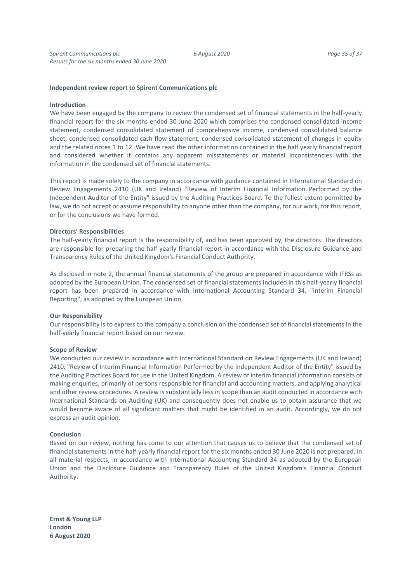### **Independent review report to Spirent Communications plc**

#### **Introduction**

We have been engaged by the company to review the condensed set of financial statements in the half-yearly financial report for the six months ended 30 June 2020 which comprises the condensed consolidated income statement, condensed consolidated statement of comprehensive income, condensed consolidated balance sheet, condensed consolidated cash flow statement, condensed consolidated statement of changes in equity and the related notes 1 to 12. We have read the other information contained in the half yearly financial report and considered whether it contains any apparent misstatements or material inconsistencies with the information in the condensed set of financial statements.

This report is made solely to the company in accordance with guidance contained in International Standard on Review Engagements 2410 (UK and Ireland) "Review of Interim Financial Information Performed by the Independent Auditor of the Entity" issued by the Auditing Practices Board. To the fullest extent permitted by law, we do not accept or assume responsibility to anyone other than the company, for our work, for this report, or for the conclusions we have formed.

## **Directors' Responsibilities**

The half-yearly financial report is the responsibility of, and has been approved by, the directors. The directors are responsible for preparing the half-yearly financial report in accordance with the Disclosure Guidance and Transparency Rules of the United Kingdom's Financial Conduct Authority.

As disclosed in note 2, the annual financial statements of the group are prepared in accordance with IFRSs as adopted by the European Union. The condensed set of financial statements included in this half-yearly financial report has been prepared in accordance with International Accounting Standard 34, "Interim Financial Reporting", as adopted by the European Union.

#### **Our Responsibility**

Our responsibility is to express to the company a conclusion on the condensed set of financial statements in the half-yearly financial report based on our review.

#### **Scope of Review**

We conducted our review in accordance with International Standard on Review Engagements (UK and Ireland) 2410, "Review of Interim Financial Information Performed by the Independent Auditor of the Entity" issued by the Auditing Practices Board for use in the United Kingdom. A review of interim financial information consists of making enquiries, primarily of persons responsible for financial and accounting matters, and applying analytical and other review procedures. A review is substantially less in scope than an audit conducted in accordance with International Standards on Auditing (UK) and consequently does not enable us to obtain assurance that we would become aware of all significant matters that might be identified in an audit. Accordingly, we do not express an audit opinion.

#### **Conclusion**

Based on our review, nothing has come to our attention that causes us to believe that the condensed set of financial statements in the half-yearly financial report for the six months ended 30 June 2020 is not prepared, in all material respects, in accordance with International Accounting Standard 34 as adopted by the European Union and the Disclosure Guidance and Transparency Rules of the United Kingdom's Financial Conduct Authority.

**Ernst & Young LLP London 6 August 2020**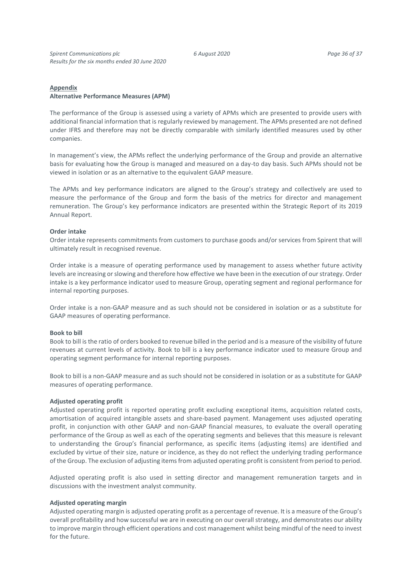## **Appendix Alternative Performance Measures (APM)**

The performance of the Group is assessed using a variety of APMs which are presented to provide users with additional financial information that is regularly reviewed by management. The APMs presented are not defined under IFRS and therefore may not be directly comparable with similarly identified measures used by other companies.

In management's view, the APMs reflect the underlying performance of the Group and provide an alternative basis for evaluating how the Group is managed and measured on a day-to day basis. Such APMs should not be viewed in isolation or as an alternative to the equivalent GAAP measure.

The APMs and key performance indicators are aligned to the Group's strategy and collectively are used to measure the performance of the Group and form the basis of the metrics for director and management remuneration. The Group's key performance indicators are presented within the Strategic Report of its 2019 Annual Report.

### **Order intake**

Order intake represents commitments from customers to purchase goods and/or services from Spirent that will ultimately result in recognised revenue.

Order intake is a measure of operating performance used by management to assess whether future activity levels are increasing or slowing and therefore how effective we have been in the execution of our strategy. Order intake is a key performance indicator used to measure Group, operating segment and regional performance for internal reporting purposes.

Order intake is a non-GAAP measure and as such should not be considered in isolation or as a substitute for GAAP measures of operating performance.

### **Book to bill**

Book to bill is the ratio of orders booked to revenue billed in the period and is a measure of the visibility of future revenues at current levels of activity. Book to bill is a key performance indicator used to measure Group and operating segment performance for internal reporting purposes.

Book to bill is a non-GAAP measure and as such should not be considered in isolation or as a substitute for GAAP measures of operating performance.

#### **Adjusted operating profit**

Adjusted operating profit is reported operating profit excluding exceptional items, acquisition related costs, amortisation of acquired intangible assets and share-based payment. Management uses adjusted operating profit, in conjunction with other GAAP and non-GAAP financial measures, to evaluate the overall operating performance of the Group as well as each of the operating segments and believes that this measure is relevant to understanding the Group's financial performance, as specific items (adjusting items) are identified and excluded by virtue of their size, nature or incidence, as they do not reflect the underlying trading performance of the Group. The exclusion of adjusting items from adjusted operating profit is consistent from period to period.

Adjusted operating profit is also used in setting director and management remuneration targets and in discussions with the investment analyst community.

### **Adjusted operating margin**

Adjusted operating margin is adjusted operating profit as a percentage of revenue. It is a measure of the Group's overall profitability and how successful we are in executing on our overall strategy, and demonstrates our ability to improve margin through efficient operations and cost management whilst being mindful of the need to invest for the future.